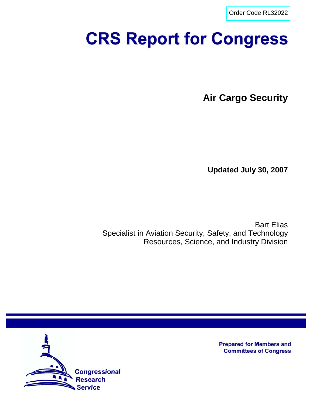[Order Code RL32022](http://www.fas.org/sgp/crs/homesec/index.html)

# **CRS Report for Congress**

**Air Cargo Security**

**Updated July 30, 2007**

Bart Elias Specialist in Aviation Security, Safety, and Technology Resources, Science, and Industry Division



**Prepared for Members and Committees of Congress**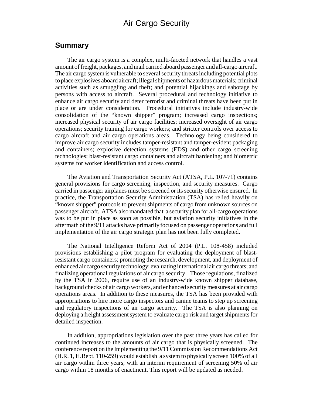# Air Cargo Security

#### **Summary**

The air cargo system is a complex, multi-faceted network that handles a vast amount of freight, packages, and mail carried aboard passenger and all-cargo aircraft. The air cargo system is vulnerable to several security threats including potential plots to place explosives aboard aircraft; illegal shipments of hazardous materials; criminal activities such as smuggling and theft; and potential hijackings and sabotage by persons with access to aircraft. Several procedural and technology initiative to enhance air cargo security and deter terrorist and criminal threats have been put in place or are under consideration. Procedural initiatives include industry-wide consolidation of the "known shipper" program; increased cargo inspections; increased physical security of air cargo facilities; increased oversight of air cargo operations; security training for cargo workers; and stricter controls over access to cargo aircraft and air cargo operations areas. Technology being considered to improve air cargo security includes tamper-resistant and tamper-evident packaging and containers; explosive detection systems (EDS) and other cargo screening technologies; blast-resistant cargo containers and aircraft hardening; and biometric systems for worker identification and access control.

The Aviation and Transportation Security Act (ATSA, P.L. 107-71) contains general provisions for cargo screening, inspection, and security measures. Cargo carried in passenger airplanes must be screened or its security otherwise ensured. In practice, the Transportation Security Administration (TSA) has relied heavily on "known shipper" protocols to prevent shipments of cargo from unknown sources on passenger aircraft. ATSA also mandated that a security plan for all-cargo operations was to be put in place as soon as possible, but aviation security initiatives in the aftermath of the 9/11 attacks have primarily focused on passenger operations and full implementation of the air cargo strategic plan has not been fully completed.

The National Intelligence Reform Act of 2004 (P.L. 108-458) included provisions establishing a pilot program for evaluating the deployment of blastresistant cargo containers; promoting the research, development, and deployment of enhanced air cargo security technology; evaluating international air cargo threats; and finalizing operational regulations of air cargo security . Those regulations, finalized by the TSA in 2006, require use of an industry-wide known shipper database, background checks of air cargo workers, and enhanced security measures at air cargo operations areas. In addition to these measures, the TSA has been provided with appropriations to hire more cargo inspectors and canine teams to step up screening and regulatory inspections of air cargo security. The TSA is also planning on deploying a freight assessment system to evaluate cargo risk and target shipments for detailed inspection.

In addition, appropriations legislation over the past three years has called for continued increases to the amounts of air cargo that is physically screened. The conference report on the Implementing the 9/11 Commission Recommendations Act (H.R. 1, H.Rept. 110-259) would establish a system to physically screen 100% of all air cargo within three years, with an interim requirement of screening 50% of air cargo within 18 months of enactment. This report will be updated as needed.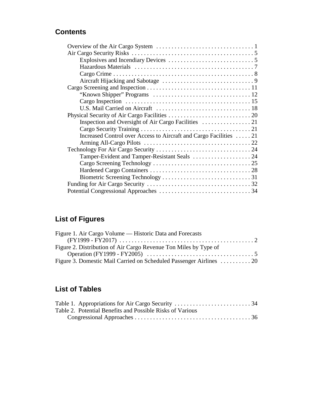# **Contents**

| Increased Control over Access to Aircraft and Cargo Facilities  21 |  |
|--------------------------------------------------------------------|--|
|                                                                    |  |
|                                                                    |  |
|                                                                    |  |
|                                                                    |  |
|                                                                    |  |
|                                                                    |  |
|                                                                    |  |
|                                                                    |  |

# **List of Figures**

| Figure 1. Air Cargo Volume — Historic Data and Forecasts            |  |
|---------------------------------------------------------------------|--|
|                                                                     |  |
| Figure 2. Distribution of Air Cargo Revenue Ton Miles by Type of    |  |
|                                                                     |  |
| Figure 3. Domestic Mail Carried on Scheduled Passenger Airlines  20 |  |

# **List of Tables**

| Table 2. Potential Benefits and Possible Risks of Various |  |
|-----------------------------------------------------------|--|
|                                                           |  |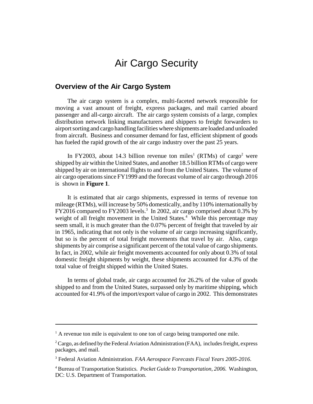# Air Cargo Security

#### **Overview of the Air Cargo System**

The air cargo system is a complex, multi-faceted network responsible for moving a vast amount of freight, express packages, and mail carried aboard passenger and all-cargo aircraft. The air cargo system consists of a large, complex distribution network linking manufacturers and shippers to freight forwarders to airport sorting and cargo handling facilities where shipments are loaded and unloaded from aircraft. Business and consumer demand for fast, efficient shipment of goods has fueled the rapid growth of the air cargo industry over the past 25 years.

In FY2003, about 14.3 billion revenue ton miles<sup>1</sup> (RTMs) of cargo<sup>2</sup> were shipped by air within the United States, and another 18.5 billion RTMs of cargo were shipped by air on international flights to and from the United States. The volume of air cargo operations since FY1999 and the forecast volume of air cargo through 2016 is shown in **Figure 1**.

It is estimated that air cargo shipments, expressed in terms of revenue ton mileage (RTMs), will increase by 50% domestically, and by 110% internationally by FY2016 compared to FY2003 levels.<sup>3</sup> In 2002, air cargo comprised about 0.3% by weight of all freight movement in the United States.<sup>4</sup> While this percentage may seem small, it is much greater than the 0.07% percent of freight that traveled by air in 1965, indicating that not only is the volume of air cargo increasing significantly, but so is the percent of total freight movements that travel by air. Also, cargo shipments by air comprise a significant percent of the total value of cargo shipments. In fact, in 2002, while air freight movements accounted for only about 0.3% of total domestic freight shipments by weight, these shipments accounted for 4.3% of the total value of freight shipped within the United States.

In terms of global trade, air cargo accounted for 26.2% of the value of goods shipped to and from the United States, surpassed only by maritime shipping, which accounted for 41.9% of the import/export value of cargo in 2002. This demonstrates

<sup>&</sup>lt;sup>1</sup> A revenue ton mile is equivalent to one ton of cargo being transported one mile.

 $2^2$  Cargo, as defined by the Federal Aviation Administration (FAA), includes freight, express packages, and mail.

<sup>3</sup> Federal Aviation Administration. *FAA Aerospace Forecasts Fiscal Years 2005-2016*.

<sup>4</sup> Bureau of Transportation Statistics*. Pocket Guide to Transportation, 2006.* Washington, DC: U.S. Department of Transportation.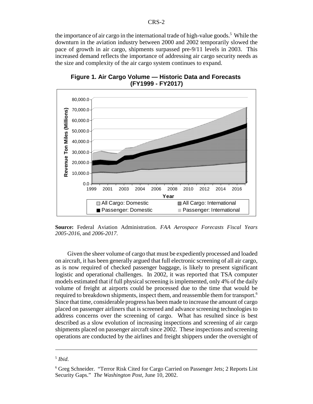the importance of air cargo in the international trade of high-value goods.<sup>5</sup> While the downturn in the aviation industry between 2000 and 2002 temporarily slowed the pace of growth in air cargo, shipments surpassed pre-9/11 levels in 2003. This increased demand reflects the importance of addressing air cargo security needs as the size and complexity of the air cargo system continues to expand.



**Figure 1. Air Cargo Volume — Historic Data and Forecasts (FY1999 - FY2017)**

**Source:** Federal Aviation Administration. *FAA Aerospace Forecasts Fiscal Years 2005-2016*, and *2006-2017*.

Given the sheer volume of cargo that must be expediently processed and loaded on aircraft, it has been generally argued that full electronic screening of all air cargo, as is now required of checked passenger baggage, is likely to present significant logistic and operational challenges. In 2002, it was reported that TSA computer models estimated that if full physical screening is implemented, only 4% of the daily volume of freight at airports could be processed due to the time that would be required to breakdown shipments, inspect them, and reassemble them for transport.6 Since that time, considerable progress has been made to increase the amount of cargo placed on passenger airliners that is screened and advance screening technologies to address concerns over the screening of cargo. What has resulted since is best described as a slow evolution of increasing inspections and screening of air cargo shipments placed on passenger aircraft since 2002. These inspections and screening operations are conducted by the airlines and freight shippers under the oversight of

<sup>5</sup> *Ibid*.

<sup>&</sup>lt;sup>6</sup> Greg Schneider. "Terror Risk Cited for Cargo Carried on Passenger Jets; 2 Reports List Security Gaps." *The Washington Post*, June 10, 2002.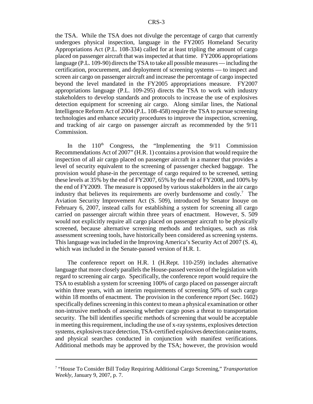the TSA. While the TSA does not divulge the percentage of cargo that currently undergoes physical inspection, language in the FY2005 Homeland Security Appropriations Act (P.L. 108-334) called for at least tripling the amount of cargo placed on passenger aircraft that was inspected at that time. FY2006 appropriations language (P.L. 109-90) directs the TSA to take all possible measures — including the certification, procurement, and deployment of screening systems — to inspect and screen air cargo on passenger aircraft and increase the percentage of cargo inspected beyond the level mandated in the FY2005 appropriations measure. FY2007 appropriations language (P.L. 109-295) directs the TSA to work with industry stakeholders to develop standards and protocols to increase the use of explosives detection equipment for screening air cargo. Along similar lines, the National Intelligence Reform Act of 2004 (P.L. 108-458) require the TSA to pursue screening technologies and enhance security procedures to improve the inspection, screening, and tracking of air cargo on passenger aircraft as recommended by the 9/11 Commission.

In the  $110<sup>th</sup>$  Congress, the "Implementing the  $9/11$  Commission Recommendations Act of 2007" (H.R. 1) contains a provision that would require the inspection of all air cargo placed on passenger aircraft in a manner that provides a level of security equivalent to the screening of passenger checked baggage. The provision would phase-in the percentage of cargo required to be screened, setting these levels at 35% by the end of FY2007, 65% by the end of FY2008, and 100% by the end of FY2009. The measure is opposed by various stakeholders in the air cargo industry that believes its requirements are overly burdensome and  $costly$ .<sup>7</sup> The Aviation Security Improvement Act (S. 509), introduced by Senator Inouye on February 6, 2007, instead calls for establishing a system for screening all cargo carried on passenger aircraft within three years of enactment. However, S. 509 would not explicitly require all cargo placed on passenger aircraft to be physically screened, because alternative screening methods and techniques, such as risk assessment screening tools, have historically been considered as screening systems. This language was included in the Improving America's Security Act of 2007 (S. 4), which was included in the Senate-passed version of H.R. 1.

The conference report on H.R. 1 (H.Rept. 110-259) includes alternative language that more closely parallels the House-passed version of the legislation with regard to screening air cargo. Specifically, the conference report would require the TSA to establish a system for screening 100% of cargo placed on passenger aircraft within three years, with an interim requirements of screening 50% of such cargo within 18 months of enactment. The provision in the conference report (Sec. 1602) specifically defines screening in this context to mean a physical examination or other non-intrusive methods of assessing whether cargo poses a threat to transportation security. The bill identifies specific methods of screening that would be acceptable in meeting this requirement, including the use of x-ray systems, explosives detection systems, explosives trace detection, TSA-certified explosives detection canine teams, and physical searches conducted in conjunction with manifest verifications. Additional methods may be approved by the TSA; however, the provision would

<sup>7</sup> "House To Consider Bill Today Requiring Additional Cargo Screening," *Transportation Weekly,* January 9, 2007, p. 7.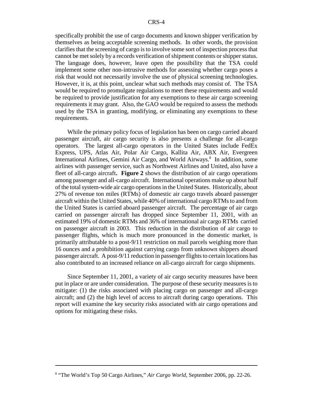specifically prohibit the use of cargo documents and known shipper verification by themselves as being acceptable screening methods. In other words, the provision clarifies that the screening of cargo is to involve some sort of inspection process that cannot be met solely by a records verification of shipment contents or shipper status. The language does, however, leave open the possibility that the TSA could implement some other non-intrusive methods for assessing whether cargo poses a risk that would not necessarily involve the use of physical screening technologies. However, it is, at this point, unclear what such methods may consist of. The TSA would be required to promulgate regulations to meet these requirements and would be required to provide justification for any exemptions to these air cargo screening requirements it may grant. Also, the GAO would be required to assess the methods used by the TSA in granting, modifying, or eliminating any exemptions to these requirements.

While the primary policy focus of legislation has been on cargo carried aboard passenger aircraft, air cargo security is also presents a challenge for all-cargo operators. The largest all-cargo operators in the United States include FedEx Express, UPS, Atlas Air, Polar Air Cargo, Kallita Air, ABX Air, Evergreen International Airlines, Gemini Air Cargo, and World Airways.<sup>8</sup> In addition, some airlines with passenger service, such as Northwest Airlines and United, also have a fleet of all-cargo aircraft**. Figure 2** shows the distribution of air cargo operations among passenger and all-cargo aircraft. International operations make up about half of the total system-wide air cargo operations in the United States. Historically, about 27% of revenue ton miles (RTMs) of domestic air cargo travels aboard passenger aircraft within the United States, while 40% of international cargo RTMs to and from the United States is carried aboard passenger aircraft. The percentage of air cargo carried on passenger aircraft has dropped since September 11, 2001, with an estimated 19% of domestic RTMs and 36% of international air cargo RTMs carried on passenger aircraft in 2003. This reduction in the distribution of air cargo to passenger flights, which is much more pronounced in the domestic market, is primarily attributable to a post-9/11 restriction on mail parcels weighing more than 16 ounces and a prohibition against carrying cargo from unknown shippers aboard passenger aircraft. A post-9/11 reduction in passenger flights to certain locations has also contributed to an increased reliance on all-cargo aircraft for cargo shipments.

Since September 11, 2001, a variety of air cargo security measures have been put in place or are under consideration. The purpose of these security measures is to mitigate: (1) the risks associated with placing cargo on passenger and all-cargo aircraft; and (2) the high level of access to aircraft during cargo operations. This report will examine the key security risks associated with air cargo operations and options for mitigating these risks.

<sup>8</sup> "The World's Top 50 Cargo Airlines," *Air Cargo World,* September 2006, pp. 22-26.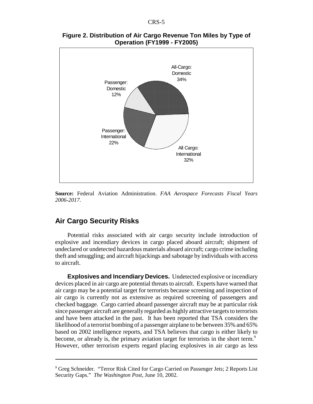

**Figure 2. Distribution of Air Cargo Revenue Ton Miles by Type of Operation (FY1999 - FY2005)**

**Source:** Federal Aviation Administration. *FAA Aerospace Forecasts Fiscal Years 2006-2017*.

#### **Air Cargo Security Risks**

Potential risks associated with air cargo security include introduction of explosive and incendiary devices in cargo placed aboard aircraft; shipment of undeclared or undetected hazardous materials aboard aircraft; cargo crime including theft and smuggling; and aircraft hijackings and sabotage by individuals with access to aircraft.

**Explosives and Incendiary Devices.** Undetected explosive or incendiary devices placed in air cargo are potential threats to aircraft. Experts have warned that air cargo may be a potential target for terrorists because screening and inspection of air cargo is currently not as extensive as required screening of passengers and checked baggage. Cargo carried aboard passenger aircraft may be at particular risk since passenger aircraft are generally regarded as highly attractive targets to terrorists and have been attacked in the past. It has been reported that TSA considers the likelihood of a terrorist bombing of a passenger airplane to be between 35% and 65% based on 2002 intelligence reports, and TSA believes that cargo is either likely to become, or already is, the primary aviation target for terrorists in the short term.<sup>9</sup> However, other terrorism experts regard placing explosives in air cargo as less

<sup>&</sup>lt;sup>9</sup> Greg Schneider. "Terror Risk Cited for Cargo Carried on Passenger Jets; 2 Reports List Security Gaps." *The Washington Post*, June 10, 2002.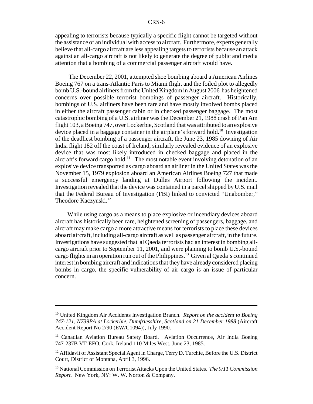appealing to terrorists because typically a specific flight cannot be targeted without the assistance of an individual with access to aircraft. Furthermore, experts generally believe that all-cargo aircraft are less appealing targets to terrorists because an attack against an all-cargo aircraft is not likely to generate the degree of public and media attention that a bombing of a commercial passenger aircraft would have.

 The December 22, 2001, attempted shoe bombing aboard a American Airlines Boeing 767 on a trans-Atlantic Paris to Miami flight and the foiled plot to allegedly bomb U.S.-bound airliners from the United Kingdom in August 2006 has heightened concerns over possible terrorist bombings of passenger aircraft. Historically, bombings of U.S. airliners have been rare and have mostly involved bombs placed in either the aircraft passenger cabin or in checked passenger baggage. The most catastrophic bombing of a U.S. airliner was the December 21, 1988 crash of Pan Am flight 103, a Boeing 747, over Lockerbie, Scotland that was attributed to an explosive device placed in a baggage container in the airplane's forward hold.<sup>10</sup> Investigation of the deadliest bombing of a passenger aircraft, the June 23, 1985 downing of Air India flight 182 off the coast of Ireland, similarly revealed evidence of an explosive device that was most likely introduced in checked baggage and placed in the aircraft's forward cargo hold.<sup>11</sup> The most notable event involving detonation of an explosive device transported as cargo aboard an airliner in the United States was the November 15, 1979 explosion aboard an American Airlines Boeing 727 that made a successful emergency landing at Dulles Airport following the incident. Investigation revealed that the device was contained in a parcel shipped by U.S. mail that the Federal Bureau of Investigation (FBI) linked to convicted "Unabomber," Theodore Kaczynski.<sup>12</sup>

While using cargo as a means to place explosive or incendiary devices aboard aircraft has historically been rare, heightened screening of passengers, baggage, and aircraft may make cargo a more attractive means for terrorists to place these devices aboard aircraft, including all-cargo aircraft as well as passenger aircraft, in the future. Investigations have suggested that al Qaeda terrorists had an interest in bombing allcargo aircraft prior to September 11, 2001, and were planning to bomb U.S.-bound cargo flights in an operation run out of the Philippines.<sup>13</sup> Given al Qaeda's continued interest in bombing aircraft and indications that they have already considered placing bombs in cargo, the specific vulnerability of air cargo is an issue of particular concern.

<sup>10</sup> United Kingdom Air Accidents Investigation Branch. *Report on the accident to Boeing 747-121, N739PA at Lockerbie, Dumfriesshire, Scotland on 21 December 1988* (Aircraft Accident Report No 2/90 (EW/C1094)), July 1990.

<sup>&</sup>lt;sup>11</sup> Canadian Aviation Bureau Safety Board. Aviation Occurrence, Air India Boeing 747-237B VT-EFO, Cork, Ireland 110 Miles West, June 23, 1985.

<sup>&</sup>lt;sup>12</sup> Affidavit of Assistant Special Agent in Charge, Terry D. Turchie, Before the U.S. District Court, District of Montana, April 3, 1996.

<sup>13</sup> National Commission on Terrorist Attacks Upon the United States. *The 9/11 Commission Report.* New York, NY: W. W. Norton & Company.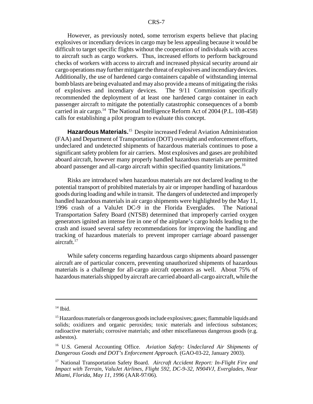However, as previously noted, some terrorism experts believe that placing explosives or incendiary devices in cargo may be less appealing because it would be difficult to target specific flights without the cooperation of individuals with access to aircraft such as cargo workers. Thus, increased efforts to perform background checks of workers with access to aircraft and increased physical security around air cargo operations may further mitigate the threat of explosives and incendiary devices. Additionally, the use of hardened cargo containers capable of withstanding internal bomb blasts are being evaluated and may also provide a means of mitigating the risks of explosives and incendiary devices. The 9/11 Commission specifically recommended the deployment of at least one hardened cargo container in each passenger aircraft to mitigate the potentially catastrophic consequences of a bomb carried in air cargo.<sup>14</sup> The National Intelligence Reform Act of 2004 (P.L. 108-458) calls for establishing a pilot program to evaluate this concept.

**Hazardous Materials.**15 Despite increased Federal Aviation Administration (FAA) and Department of Transportation (DOT) oversight and enforcement efforts, undeclared and undetected shipments of hazardous materials continues to pose a significant safety problem for air carriers. Most explosives and gases are prohibited aboard aircraft, however many properly handled hazardous materials are permitted aboard passenger and all-cargo aircraft within specified quantity limitations.<sup>16</sup>

Risks are introduced when hazardous materials are not declared leading to the potential transport of prohibited materials by air or improper handling of hazardous goods during loading and while in transit. The dangers of undetected and improperly handled hazardous materials in air cargo shipments were highlighted by the May 11, 1996 crash of a ValuJet DC-9 in the Florida Everglades. The National Transportation Safety Board (NTSB) determined that improperly carried oxygen generators ignited an intense fire in one of the airplane's cargo holds leading to the crash and issued several safety recommendations for improving the handling and tracking of hazardous materials to prevent improper carriage aboard passenger aircraft.<sup>17</sup>

While safety concerns regarding hazardous cargo shipments aboard passenger aircraft are of particular concern, preventing unauthorized shipments of hazardous materials is a challenge for all-cargo aircraft operators as well. About 75% of hazardous materials shipped by aircraft are carried aboard all-cargo aircraft, while the

 $14$  Ibid.

<sup>&</sup>lt;sup>15</sup> Hazardous materials or dangerous goods include explosives; gases; flammable liquids and solids; oxidizers and organic peroxides; toxic materials and infectious substances; radioactive materials; corrosive materials; and other miscellaneous dangerous goods (e.g. asbestos).

<sup>16</sup> U.S. General Accounting Office. *Aviation Safety: Undeclared Air Shipments of Dangerous Goods and DOT's Enforcement Approach.* (GAO-03-22, January 2003).

<sup>17</sup> National Transportation Safety Board. *Aircraft Accident Report: In-Flight Fire and Impact with Terrain, ValuJet Airlines, Flight 592, DC-9-32, N904VJ, Everglades, Near Miami, Florida, May 11, 1996* (AAR-97/06).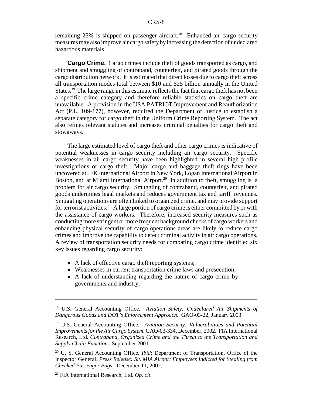remaining  $25\%$  is shipped on passenger aircraft.<sup>18</sup> Enhanced air cargo security measures may also improve air cargo safety by increasing the detection of undeclared hazardous materials.

**Cargo Crime.** Cargo crimes include theft of goods transported as cargo, and shipment and smuggling of contraband, counterfeit, and pirated goods through the cargo distribution network. It is estimated that direct losses due to cargo theft across all transportation modes total between \$10 and \$25 billion annually in the United States.<sup>19</sup> The large range in this estimate reflects the fact that cargo theft has not been a specific crime category and therefore reliable statistics on cargo theft are unavailable. A provision in the USA PATRIOT Improvement and Reauthorization Act (P.L. 109-177), however, required the Department of Justice to establish a separate category for cargo theft in the Uniform Crime Reporting System. The act also refines relevant statutes and increases criminal penalties for cargo theft and stowaways.

The large estimated level of cargo theft and other cargo crimes is indicative of potential weaknesses in cargo security including air cargo security. Specific weaknesses in air cargo security have been highlighted in several high profile investigations of cargo theft. Major cargo and baggage theft rings have been uncovered at JFK International Airport in New York, Logan International Airport in Boston, and at Miami International Airport.<sup>20</sup> In addition to theft, smuggling is a problem for air cargo security. Smuggling of contraband, counterfeit, and pirated goods undermines legal markets and reduces government tax and tariff revenues. Smuggling operations are often linked to organized crime, and may provide support for terrorist activities.<sup>21</sup> A large portion of cargo crime is either committed by or with the assistance of cargo workers. Therefore, increased security measures such as conducting more stringent or more frequent background checks of cargo workers and enhancing physical security of cargo operations areas are likely to reduce cargo crimes and improve the capability to detect criminal activity in air cargo operations. A review of transportation security needs for combating cargo crime identified six key issues regarding cargo security:

- A lack of effective cargo theft reporting systems;
- Weaknesses in current transportation crime laws and prosecution;
- A lack of understanding regarding the nature of cargo crime by governments and industry;

<sup>18</sup> U.S. General Accounting Office. *Aviation Safety: Undeclared Air Shipments of Dangerous Goods and DOT's Enforcement Approach.* GAO-03-22, January 2003.

<sup>19</sup> U.S. General Accounting Office. *Aviation Security: Vulnerabilities and Potential Improvements for the Air Cargo System.* GAO-03-334, December, 2002. FIA International Research, Ltd. *Contraband, Organized Crime and the Threat to the Transportation and Supply Chain Function*. September 2001.

<sup>&</sup>lt;sup>20</sup> U. S. General Accounting Office. *Ibid*; Department of Transportation, Office of the Inspector General. *Press Release: Six MIA Airport Employees Indicted for Stealing from Checked Passenger Bags*. December 11, 2002.

<sup>21</sup> FIA International Research, Ltd. *Op. cit.*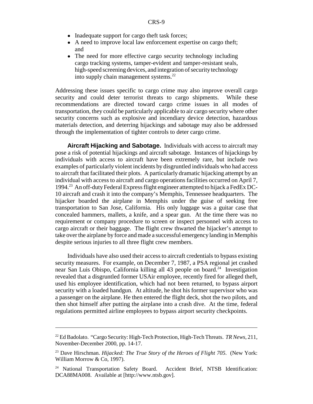- Inadequate support for cargo theft task forces;
- ! A need to improve local law enforcement expertise on cargo theft; and
- The need for more effective cargo security technology including cargo tracking systems, tamper-evident and tamper-resistant seals, high-speed screening devices, and integration of security technology into supply chain management systems. $^{22}$

Addressing these issues specific to cargo crime may also improve overall cargo security and could deter terrorist threats to cargo shipments. While these recommendations are directed toward cargo crime issues in all modes of transportation, they could be particularly applicable to air cargo security where other security concerns such as explosive and incendiary device detection, hazardous materials detection, and deterring hijackings and sabotage may also be addressed through the implementation of tighter controls to deter cargo crime.

**Aircraft Hijacking and Sabotage.** Individuals with access to aircraft may pose a risk of potential hijackings and aircraft sabotage. Instances of hijackings by individuals with access to aircraft have been extremely rare, but include two examples of particularly violent incidents by disgruntled individuals who had access to aircraft that facilitated their plots. A particularly dramatic hijacking attempt by an individual with access to aircraft and cargo operations facilities occurred on April 7, 1994.23 An off-duty Federal Express flight engineer attempted to hijack a FedEx DC-10 aircraft and crash it into the company's Memphis, Tennessee headquarters. The hijacker boarded the airplane in Memphis under the guise of seeking free transportation to San Jose, California. His only luggage was a guitar case that concealed hammers, mallets, a knife, and a spear gun. At the time there was no requirement or company procedure to screen or inspect personnel with access to cargo aircraft or their baggage. The flight crew thwarted the hijacker's attempt to take over the airplane by force and made a successful emergency landing in Memphis despite serious injuries to all three flight crew members.

Individuals have also used their access to aircraft credentials to bypass existing security measures. For example, on December 7, 1987, a PSA regional jet crashed near San Luis Obispo, California killing all 43 people on board.<sup>24</sup> Investigation revealed that a disgruntled former USAir employee, recently fired for alleged theft, used his employee identification, which had not been returned, to bypass airport security with a loaded handgun. At altitude, he shot his former supervisor who was a passenger on the airplane. He then entered the flight deck, shot the two pilots, and then shot himself after putting the airplane into a crash dive. At the time, federal regulations permitted airline employees to bypass airport security checkpoints.

<sup>22</sup> Ed Badolato. "Cargo Security: High-Tech Protection, High-Tech Threats. *TR News*, 211, November-December 2000, pp. 14-17.

<sup>23</sup> Dave Hirschman. *Hijacked: The True Story of the Heroes of Flight 705*. (New York: William Morrow & Co, 1997).

<sup>&</sup>lt;sup>24</sup> National Transportation Safety Board. Accident Brief, NTSB Identification: DCA88MA008. Available at [http://www.ntsb.gov].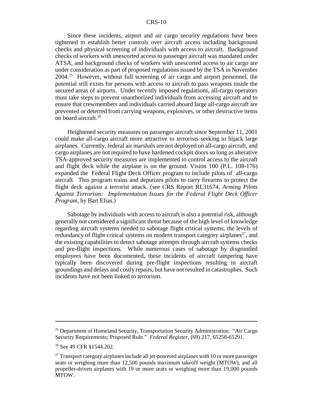#### CRS-10

Since these incidents, airport and air cargo security regulations have been tightened to establish better controls over aircraft access including background checks and physical screening of individuals with access to aircraft. Background checks of workers with unescorted access to passenger aircraft was mandated under ATSA, and background checks of workers with unescorted access to air cargo are under consideration as part of proposed regulations issued by the TSA in November 2004.25 However, without full screening of air cargo and airport personnel, the potential still exists for persons with access to aircraft to pass weapons inside the secured areas of airports. Under recently imposed regulations, all-cargo operators must take steps to prevent unauthorized individuals from accessing aircraft and to ensure that crewmembers and individuals carried aboard large all-cargo aircraft are prevented or deterred from carrying weapons, explosives, or other destructive items on board aircraft.26

Heightened security measures on passenger aircraft since September 11, 2001 could make all-cargo aircraft more attractive to terrorists seeking to hijack large airplanes. Currently, federal air marshals are not deployed on all-cargo aircraft, and cargo airplanes are not required to have hardened cockpit doors so long as alterative TSA-approved security measures are implemented to control access to the aircraft and flight deck while the airplane is on the ground. Vision 100 (P.L. 108-176) expanded the Federal Flight Deck Officer program to include pilots of all-cargo aircraft. This program trains and deputizes pilots to carry firearms to protect the flight deck against a terrorist attack. (see CRS Report RL31674, *Arming Pilots Against Terrorism: Implementation Issues for the Federal Flight Deck Officer Program*, by Bart Elias.)

Sabotage by individuals with access to aircraft is also a potential risk, although generally not considered a significant threat because of the high level of knowledge regarding aircraft systems needed to sabotage flight critical systems, the levels of redundancy of flight critical systems on modern transport category airplanes<sup>27</sup>, and the existing capabilities to detect sabotage attempts through aircraft systems checks and pre-flight inspections. While numerous cases of sabotage by disgruntled employees have been documented, these incidents of aircraft tampering have typically been discovered during pre-flight inspections resulting in aircraft groundings and delays and costly repairs, but have not resulted in catastrophes. Such incidents have not been linked to terrorism.

<sup>&</sup>lt;sup>25</sup> Department of Homeland Security, Transportation Security Administration. "Air Cargo Security Requirements; Proposed Rule." *Federal Register*, (69) 217, 65258-65291.

<sup>&</sup>lt;sup>26</sup> See 49 CFR §1544.202.

 $27$  Transport category airplanes include all jet-powered airplanes with 10 or more passenger seats or weighing more than 12,500 pounds maximum takeoff weight (MTOW), and all propeller-driven airplanes with 19 or more seats or weighing more than 19,000 pounds MTOW.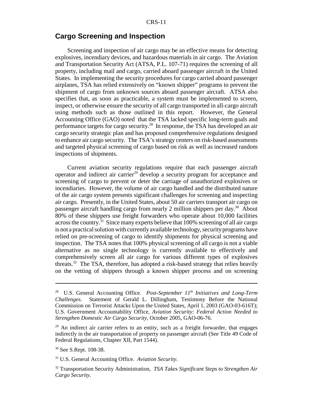#### **Cargo Screening and Inspection**

Screening and inspection of air cargo may be an effective means for detecting explosives, incendiary devices, and hazardous materials in air cargo. The Aviation and Transportation Security Act (ATSA, P.L. 107-71) requires the screening of all property, including mail and cargo, carried aboard passenger aircraft in the United States. In implementing the security procedures for cargo carried aboard passenger airplanes, TSA has relied extensively on "known shipper" programs to prevent the shipment of cargo from unknown sources aboard passenger aircraft. ATSA also specifies that, as soon as practicable, a system must be implemented to screen, inspect, or otherwise ensure the security of all cargo transported in all-cargo aircraft using methods such as those outlined in this report. However, the General Accounting Office (GAO) noted that the TSA lacked specific long-term goals and performance targets for cargo security.28 In response, the TSA has developed an air cargo security strategic plan and has proposed comprehensive regulations designed to enhance air cargo security. The TSA's strategy centers on risk-based assessments and targeted physical screening of cargo based on risk as well as increased random inspections of shipments.

Current aviation security regulations require that each passenger aircraft operator and indirect air carrier<sup>29</sup> develop a security program for acceptance and screening of cargo to prevent or deter the carriage of unauthorized explosives or incendiaries. However, the volume of air cargo handled and the distributed nature of the air cargo system presents significant challenges for screening and inspecting air cargo. Presently, in the United States, about 50 air carriers transport air cargo on passenger aircraft handling cargo from nearly 2 million shippers per day.<sup>30</sup> About 80% of these shippers use freight forwarders who operate about 10,000 facilities across the country.<sup>31</sup> Since many experts believe that  $100\%$  screening of all air cargo is not a practical solution with currently available technology, security programs have relied on pre-screening of cargo to identify shipments for physical screening and inspection. The TSA notes that 100% physical screening of all cargo is not a viable alternative as no single technology is currently available to effectively and comprehensively screen all air cargo for various different types of explosives threats.<sup>32</sup> The TSA, therefore, has adopted a risk-based strategy that relies heavily on the vetting of shippers through a known shipper process and on screening

<sup>&</sup>lt;sup>28</sup> U.S. General Accounting Office. *Post-September 11<sup>th</sup> Initiatives and Long-Term Challenges.* Statement of Gerald L. Dillingham, Testimony Before the National Commission on Terrorist Attacks Upon the United States, April 1, 2003 (GAO-03-616T); U.S. Government Accountability Office, *Aviation Security: Federal Action Needed to Strengthen Domestic Air Cargo Security,* October 2005, GAO-06-76.

<sup>&</sup>lt;sup>29</sup> An indirect air carrier refers to an entity, such as a freight forwarder, that engages indirectly in the air transportation of property on passenger aircraft (See Title 49 Code of Federal Regulations, Chapter XII, Part 1544).

<sup>&</sup>lt;sup>30</sup> See S.Rept. 108-38.

<sup>31</sup> U.S. General Accounting Office. *Aviation Security.*

<sup>32</sup> Transportation Security Administration, *TSA Takes Significant Steps to Strengthen Air Cargo Security*.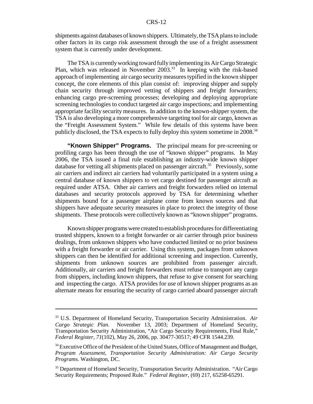shipments against databases of known shippers. Ultimately, the TSA plans to include other factors in its cargo risk assessment through the use of a freight assessment system that is currently under development.

The TSA is currently working toward fully implementing its Air Cargo Strategic Plan, which was released in November 2003.<sup>33</sup> In keeping with the risk-based approach of implementing air cargo security measures typified in the known shipper concept, the core elements of this plan consist of: improving shipper and supply chain security through improved vetting of shippers and freight forwarders; enhancing cargo pre-screening processes; developing and deploying appropriate screening technologies to conduct targeted air cargo inspections; and implementing appropriate facility security measures. In addition to the known-shipper system, the TSA is also developing a more comprehensive targeting tool for air cargo, known as the "Freight Assessment System." While few details of this systems have been publicly disclosed, the TSA expects to fully deploy this system sometime in 2008.<sup>34</sup>

**"Known Shipper" Programs.** The principal means for pre-screening or profiling cargo has been through the use of "known shipper" programs. In May 2006, the TSA issued a final rule establishing an industry-wide known shipper database for vetting all shipments placed on passenger aircraft.<sup>35</sup> Previously, some air carriers and indirect air carriers had voluntarily participated in a system using a central database of known shippers to vet cargo destined for passenger aircraft as required under ATSA. Other air carriers and freight forwarders relied on internal databases and security protocols approved by TSA for determining whether shipments bound for a passenger airplane come from known sources and that shippers have adequate security measures in place to protect the integrity of those shipments. These protocols were collectively known as "known shipper" programs.

Known shipper programs were created to establish procedures for differentiating trusted shippers, known to a freight forwarder or air carrier through prior business dealings, from unknown shippers who have conducted limited or no prior business with a freight forwarder or air carrier. Using this system, packages from unknown shippers can then be identified for additional screening and inspection. Currently, shipments from unknown sources are prohibited from passenger aircraft. Additionally, air carriers and freight forwarders must refuse to transport any cargo from shippers, including known shippers, that refuse to give consent for searching and inspecting the cargo. ATSA provides for use of known shipper programs as an alternate means for ensuring the security of cargo carried aboard passenger aircraft

<sup>33</sup> U.S. Department of Homeland Security, Transportation Security Administration. *Air Cargo Strategic Plan.* November 13, 2003; Department of Homeland Security, Transportation Security Administration, "Air Cargo Security Requirements, Final Rule," *Federal Register, 71*(102)*,* May 26, 2006, pp. 30477-30517; 49 CFR 1544.239.

<sup>&</sup>lt;sup>34</sup> Executive Office of the President of the United States, Office of Management and Budget, *Program Assessment, Transportation Security Administration: Air Cargo Security Programs.* Washington, DC.

<sup>&</sup>lt;sup>35</sup> Department of Homeland Security, Transportation Security Administration. "Air Cargo Security Requirements; Proposed Rule." *Federal Register*, (69) 217, 65258-65291.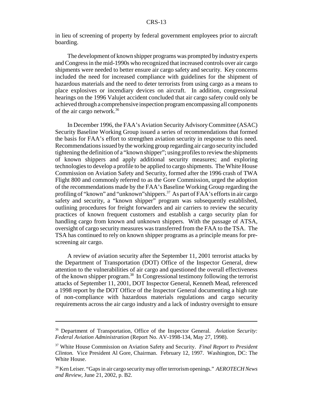in lieu of screening of property by federal government employees prior to aircraft boarding.

The development of known shipper programs was prompted by industry experts and Congress in the mid-1990s who recognized that increased controls over air cargo shipments were needed to better ensure air cargo safety and security. Key concerns included the need for increased compliance with guidelines for the shipment of hazardous materials and the need to deter terrorists from using cargo as a means to place explosives or incendiary devices on aircraft. In addition, congressional hearings on the 1996 Valujet accident concluded that air cargo safety could only be achieved through a comprehensive inspection program encompassing all components of the air cargo network.<sup>36</sup>

In December 1996, the FAA's Aviation Security Advisory Committee (ASAC) Security Baseline Working Group issued a series of recommendations that formed the basis for FAA's effort to strengthen aviation security in response to this need. Recommendations issued by the working group regarding air cargo security included tightening the definition of a "known shipper"; using profiles to review the shipments of known shippers and apply additional security measures; and exploring technologies to develop a profile to be applied to cargo shipments. The White House Commission on Aviation Safety and Security, formed after the 1996 crash of TWA Flight 800 and commonly referred to as the Gore Commission, urged the adoption of the recommendations made by the FAA's Baseline Working Group regarding the profiling of "known" and "unknown" shippers.<sup>37</sup> As part of FAA's efforts in air cargo safety and security, a "known shipper" program was subsequently established, outlining procedures for freight forwarders and air carriers to review the security practices of known frequent customers and establish a cargo security plan for handling cargo from known and unknown shippers. With the passage of ATSA, oversight of cargo security measures was transferred from the FAA to the TSA. The TSA has continued to rely on known shipper programs as a principle means for prescreening air cargo.

A review of aviation security after the September 11, 2001 terrorist attacks by the Department of Transportation (DOT) Office of the Inspector General, drew attention to the vulnerabilities of air cargo and questioned the overall effectiveness of the known shipper program.<sup>38</sup> In Congressional testimony following the terrorist attacks of September 11, 2001, DOT Inspector General, Kenneth Mead, referenced a 1998 report by the DOT Office of the Inspector General documenting a high rate of non-compliance with hazardous materials regulations and cargo security requirements across the air cargo industry and a lack of industry oversight to ensure

<sup>36</sup> Department of Transportation, Office of the Inspector General. *Aviation Security: Federal Aviation Administration* (Report No. AV-1998-134, May 27, 1998).

<sup>37</sup> White House Commission on Aviation Safety and Security. *Final Report to President Clinton.* Vice President Al Gore, Chairman. February 12, 1997. Washington, DC: The White House.

<sup>38</sup> Ken Leiser. "Gaps in air cargo security may offer terrorism openings." *AEROTECH News and Review*, June 21, 2002, p. B2.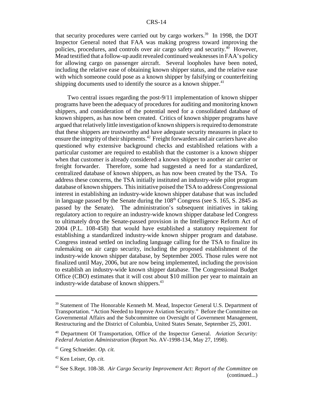that security procedures were carried out by cargo workers.<sup>39</sup> In 1998, the DOT Inspector General noted that FAA was making progress toward improving the policies, procedures, and controls over air cargo safety and security.40 However, Mead testified that a follow-up audit revealed continued weaknesses in FAA's policy for allowing cargo on passenger aircraft. Several loopholes have been noted, including the relative ease of obtaining known shipper status, and the relative ease with which someone could pose as a known shipper by falsifying or counterfeiting shipping documents used to identify the source as a known shipper. $41$ 

Two central issues regarding the post-9/11 implementation of known shipper programs have been the adequacy of procedures for auditing and monitoring known shippers, and consideration of the potential need for a consolidated database of known shippers, as has now been created. Critics of known shipper programs have argued that relatively little investigation of known shippers is required to demonstrate that these shippers are trustworthy and have adequate security measures in place to ensure the integrity of their shipments.<sup>42</sup> Freight forwarders and air carriers have also questioned why extensive background checks and established relations with a particular customer are required to establish that the customer is a known shipper when that customer is already considered a known shipper to another air carrier or freight forwarder. Therefore, some had suggested a need for a standardized, centralized database of known shippers, as has now been created by the TSA. To address these concerns, the TSA initially instituted an industry-wide pilot program database of known shippers. This initiative poised the TSA to address Congressional interest in establishing an industry-wide known shipper database that was included in language passed by the Senate during the  $108<sup>th</sup>$  Congress (see S. 165, S. 2845 as passed by the Senate). The administration's subsequent initiatives in taking regulatory action to require an industry-wide known shipper database led Congress to ultimately drop the Senate-passed provision in the Intelligence Reform Act of 2004 (P.L. 108-458) that would have established a statutory requirement for establishing a standardized industry-wide known shipper program and database. Congress instead settled on including language calling for the TSA to finalize its rulemaking on air cargo security, including the proposed establishment of the industry-wide known shipper database, by September 2005. Those rules were not finalized until May, 2006, but are now being implemented, including the provision to establish an industry-wide known shipper database. The Congressional Budget Office (CBO) estimates that it will cost about \$10 million per year to maintain an industry-wide database of known shippers.<sup>43</sup>

<sup>&</sup>lt;sup>39</sup> Statement of The Honorable Kenneth M. Mead, Inspector General U.S. Department of Transportation. "Action Needed to Improve Aviation Security." Before the Committee on Governmental Affairs and the Subcommittee on Oversight of Government Management, Restructuring and the District of Columbia, United States Senate, September 25, 2001.

<sup>40</sup> Department Of Transportation, Office of the Inspector General. *Aviation Security: Federal Aviation Administration* (Report No. AV-1998-134, May 27, 1998).

<sup>41</sup> Greg Schneider. *Op. cit.*

<sup>42</sup> Ken Leiser, *Op. cit.*

<sup>43</sup> See S.Rept. 108-38. *Air Cargo Security Improvement Act: Report of the Committee on* (continued...)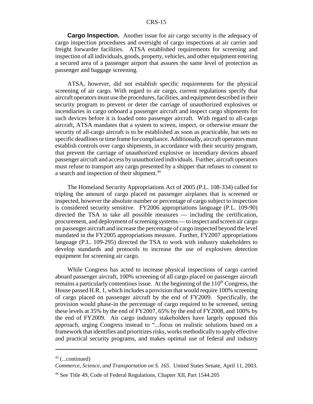**Cargo Inspection.** Another issue for air cargo security is the adequacy of cargo inspection procedures and oversight of cargo inspections at air carrier and freight forwarder facilities. ATSA established requirements for screening and inspection of all individuals, goods, property, vehicles, and other equipment entering a secured area of a passenger airport that assures the same level of protection as passenger and baggage screening.

ATSA, however, did not establish specific requirements for the physical screening of air cargo. With regard to air cargo, current regulations specify that aircraft operators must use the procedures, facilities, and equipment described in their security program to prevent or deter the carriage of unauthorized explosives or incendiaries in cargo onboard a passenger aircraft and inspect cargo shipments for such devices before it is loaded onto passenger aircraft. With regard to all-cargo aircraft, ATSA mandates that a system to screen, inspect, or otherwise ensure the security of all-cargo aircraft is to be established as soon as practicable, but sets no specific deadlines or time frame for compliance. Additionally, aircraft operators must establish controls over cargo shipments, in accordance with their security program, that prevent the carriage of unauthorized explosive or incendiary devices aboard passenger aircraft and access by unauthorized individuals. Further, aircraft operators must refuse to transport any cargo presented by a shipper that refuses to consent to a search and inspection of their shipment.<sup>44</sup>

The Homeland Security Appropriations Act of 2005 (P.L. 108-334) called for tripling the amount of cargo placed on passenger airplanes that is screened or inspected, however the absolute number or percentage of cargo subject to inspection is considered security sensitive. FY2006 appropriations language (P.L. 109-90) directed the TSA to take all possible measures — including the certification, procurement, and deployment of screening systems — to inspect and screen air cargo on passenger aircraft and increase the percentage of cargo inspected beyond the level mandated in the FY2005 appropriations measure. Further, FY2007 appropriations language (P.L. 109-295) directed the TSA to work with industry stakeholders to develop standards and protocols to increase the use of explosives detection equipment for screening air cargo.

While Congress has acted to increase physical inspections of cargo carried aboard passenger aircraft, 100% screening of all cargo placed on passenger aircraft remains a particularly contentious issue. At the beginning of the  $110<sup>th</sup>$  Congress, the House passed H.R. 1, which includes a provision that would require 100% screening of cargo placed on passenger aircraft by the end of FY2009. Specifically, the provision would phase-in the percentage of cargo required to be screened, setting these levels at 35% by the end of FY2007, 65% by the end of FY2008, and 100% by the end of FY2009. Air cargo industry stakeholders have largely opposed this approach, urging Congress instead to "...focus on realistic solutions based on a framework that identifies and prioritizes risks, works methodically to apply effective and practical security programs, and makes optimal use of federal and industry

 $43$  (...continued)

*Commerce, Science, and Transportation on S. 165*. United States Senate, April 11, 2003.

<sup>44</sup> See Title 49, Code of Federal Regulations, Chapter XII, Part 1544.205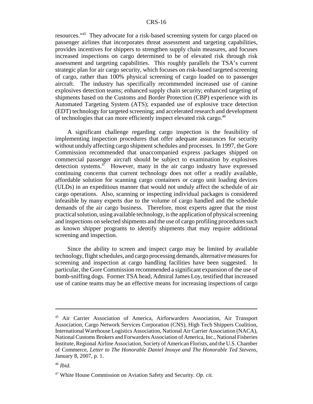resources."45 They advocate for a risk-based screening system for cargo placed on passenger airlines that incorporates threat assessment and targeting capabilities, provides incentives for shippers to strengthen supply chain measures, and focuses increased inspections on cargo determined to be of elevated risk through risk assessment and targeting capabilities. This roughly parallels the TSA's current strategic plan for air cargo security, which focuses on risk-based targeted screening of cargo, rather than 100% physical screening of cargo loaded on to passenger aircraft. The industry has specifically recommended increased use of canine explosives detection teams; enhanced supply chain security; enhanced targeting of shipments based on the Customs and Border Protection (CBP) experience with its Automated Targeting System (ATS); expanded use of explosive trace detection (EDT) technology for targeted screening; and accelerated research and development of technologies that can more efficiently inspect elevated risk cargo.46

A significant challenge regarding cargo inspection is the feasibility of implementing inspection procedures that offer adequate assurances for security without unduly affecting cargo shipment schedules and processes. In 1997, the Gore Commission recommended that unaccompanied express packages shipped on commercial passenger aircraft should be subject to examination by explosives detection systems. $47$  However, many in the air cargo industry have expressed continuing concerns that current technology does not offer a readily available, affordable solution for scanning cargo containers or cargo unit loading devices (ULDs) in an expeditious manner that would not unduly affect the schedule of air cargo operations. Also, scanning or inspecting individual packages is considered infeasible by many experts due to the volume of cargo handled and the schedule demands of the air cargo business. Therefore, most experts agree that the most practical solution, using available technology, is the application of physical screening and inspections on selected shipments and the use of cargo profiling procedures such as known shipper programs to identify shipments that may require additional screening and inspection.

Since the ability to screen and inspect cargo may be limited by available technology, flight schedules, and cargo processing demands, alternative measures for screening and inspection at cargo handling facilities have been suggested. In particular, the Gore Commission recommended a significant expansion of the use of bomb-sniffing dogs. Former TSA head, Admiral James Loy, testified that increased use of canine teams may be an effective means for increasing inspections of cargo

<sup>45</sup> Air Carrier Association of America, Airforwarders Association, Air Transport Association, Cargo Network Services Corporation (CNS), High Tech Shippers Coalition, International Warehouse Logistics Association, National Air Carrier Association (NACA), National Customs Brokers and Forwarders Association of America, Inc., National Fisheries Institute, Regional Airline Association, Society of American Florists, and the U.S. Chamber of Commerce, *Letter to The Honorable Daniel Inouye and The Honorable Ted Stevens,* January 8, 2007, p. 1.

<sup>46</sup> *Ibid.*

<sup>47</sup> White House Commission on Aviation Safety and Security. *Op. cit.*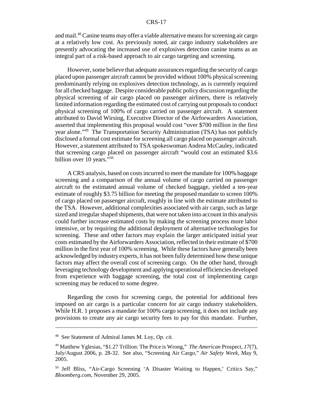#### CRS-17

and mail.48 Canine teams may offer a viable alternative means for screening air cargo at a relatively low cost. As previously noted, air cargo industry stakeholders are presently advocating the increased use of explosives detection canine teams as an integral part of a risk-based approach to air cargo targeting and screening.

However, some believe that adequate assurances regarding the security of cargo placed upon passenger aircraft cannot be provided without 100% physical screening predominantly relying on explosives detection technology, as is currently required for all checked baggage. Despite considerable public policy discussion regarding the physical screening of air cargo placed on passenger airliners, there is relatively limited information regarding the estimated cost of carrying out proposals to conduct physical screening of 100% of cargo carried on passenger aircraft. A statement attributed to David Wirsing, Executive Director of the Airforwarders Association, asserted that implementing this proposal would cost "over \$700 million in the first year alone."49 The Transportation Security Administration (TSA) has not publicly disclosed a formal cost estimate for screening all cargo placed on passenger aircraft. However, a statement attributed to TSA spokeswoman Andrea McCauley, indicated that screening cargo placed on passenger aircraft "would cost an estimated \$3.6 billion over 10 years."<sup>50</sup>

A CRS analysis, based on costs incurred to meet the mandate for 100% baggage screening and a comparison of the annual volume of cargo carried on passenger aircraft to the estimated annual volume of checked baggage, yielded a ten-year estimate of roughly \$3.75 billion for meeting the proposed mandate to screen 100% of cargo placed on passenger aircraft, roughly in line with the estimate attributed to the TSA. However, additional complexities associated with air cargo, such as large sized and irregular shaped shipments, that were not taken into account in this analysis could further increase estimated costs by making the screening process more labor intensive, or by requiring the additional deployment of alternative technologies for screening. These and other factors may explain the larger anticipated initial year costs estimated by the Airforwarders Association, reflected in their estimate of \$700 million in the first year of 100% screening. While these factors have generally been acknowledged by industry experts, it has not been fully determined how these unique factors may affect the overall cost of screening cargo. On the other hand, through leveraging technology development and applying operational efficiencies developed from experience with baggage screening, the total cost of implementing cargo screening may be reduced to some degree.

Regarding the costs for screening cargo, the potential for additional fees imposed on air cargo is a particular concern for air cargo industry stakeholders. While H.R. 1 proposes a mandate for 100% cargo screening, it does not include any provisions to create any air cargo security fees to pay for this mandate. Further,

<sup>48</sup> See Statement of Admiral James M. Loy, *Op. cit.*

<sup>49</sup> Matthew Yglesias, "\$1.27 Trillion: The Price is Wrong," *The American* Prospect, *17*(7), July/August 2006, p. 28-32. See also, "Screening Air Cargo," *Air Safety Week,* May 9, 2005.

<sup>&</sup>lt;sup>50</sup> Jeff Bliss, "Air-Cargo Screening 'A Disaster Waiting to Happen,' Critics Say," *Bloomberg.com,* November 29, 2005.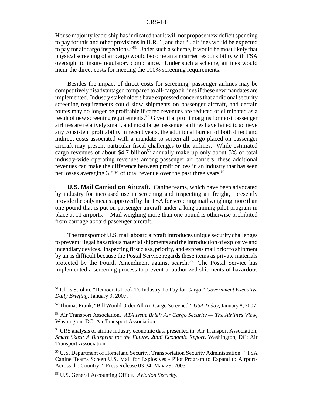House majority leadership has indicated that it will not propose new deficit spending to pay for this and other provisions in H.R. 1, and that "...airlines would be expected to pay for air cargo inspections."51 Under such a scheme, it would be most likely that physical screening of air cargo would become an air carrier responsibility with TSA oversight to insure regulatory compliance. Under such a scheme, airlines would incur the direct costs for meeting the 100% screening requirements.

Besides the impact of direct costs for screening, passenger airlines may be competitively disadvantaged compared to all-cargo airlines if these new mandates are implemented. Industry stakeholders have expressed concerns that additional security screening requirements could slow shipments on passenger aircraft, and certain routes may no longer be profitable if cargo revenues are reduced or eliminated as a result of new screening requirements.<sup>52</sup> Given that profit margins for most passenger airlines are relatively small, and most large passenger airlines have failed to achieve any consistent profitability in recent years, the additional burden of both direct and indirect costs associated with a mandate to screen all cargo placed on passenger aircraft may present particular fiscal challenges to the airlines. While estimated cargo revenues of about \$4.7 billion<sup>53</sup> annually make up only about 5% of total industry-wide operating revenues among passenger air carriers, these additional revenues can make the difference between profit or loss in an industry that has seen net losses averaging  $3.8\%$  of total revenue over the past three years.<sup>54</sup>

**U.S. Mail Carried on Aircraft.** Canine teams, which have been advocated by industry for increased use in screening and inspecting air freight, presently provide the only means approved by the TSA for screening mail weighing more than one pound that is put on passenger aircraft under a long-running pilot program in place at 11 airports.55 Mail weighing more than one pound is otherwise prohibited from carriage aboard passenger aircraft.

The transport of U.S. mail aboard aircraft introduces unique security challenges to prevent illegal hazardous material shipments and the introduction of explosive and incendiary devices. Inspecting first class, priority, and express mail prior to shipment by air is difficult because the Postal Service regards these items as private materials protected by the Fourth Amendment against search.<sup>56</sup> The Postal Service has implemented a screening process to prevent unauthorized shipments of hazardous

<sup>51</sup> Chris Strohm, "Democrats Look To Industry To Pay for Cargo," *Government Executive Daily Briefing,* January 9, 2007.

<sup>52</sup> Thomas Frank, "Bill Would Order All Air Cargo Screened," *USA Today,* January 8, 2007.

<sup>53</sup> Air Transport Association, *ATA Issue Brief: Air Cargo Security — The Airlines View*, Washington, DC: Air Transport Association.

<sup>54</sup> CRS analysis of airline industry economic data presented in: Air Transport Association, *Smart Skies: A Blueprint for the Future, 2006 Economic Report,* Washington, DC: Air Transport Association.

<sup>55</sup> U.S. Department of Homeland Security, Transportation Security Administration. "TSA Canine Teams Screen U.S. Mail for Explosives - Pilot Program to Expand to Airports Across the Country." Press Release 03-34, May 29, 2003.

<sup>56</sup> U.S. General Accounting Office. *Aviation Security.*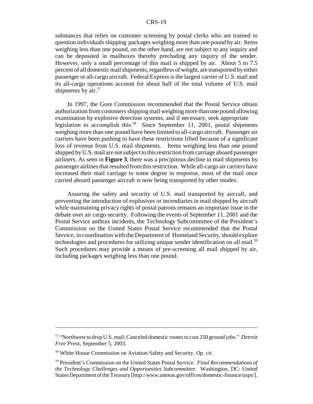substances that relies on customer screening by postal clerks who are trained to question individuals shipping packages weighing more than one pound by air. Items weighing less than one pound, on the other hand, are not subject to any inquiry and can be deposited in mailboxes thereby precluding any inquiry of the sender. However, only a small percentage of this mail is shipped by air. About 5 to 7.5 percent of all domestic mail shipments, regardless of weight, are transported by either passenger or all-cargo aircraft. Federal Express is the largest carrier of U.S. mail and its all-cargo operations account for about half of the total volume of U.S. mail shipments by air.<sup>57</sup>

In 1997, the Gore Commission recommended that the Postal Service obtain authorization from customers shipping mail weighing more than one pound allowing examination by explosive detection systems, and if necessary, seek appropriate legislation to accomplish this.<sup>58</sup> Since September 11, 2001, postal shipments weighing more than one pound have been limited to all-cargo aircraft. Passenger air carriers have been pushing to have these restrictions lifted because of a significant loss of revenue from U.S. mail shipments. Items weighing less than one pound shipped by U.S. mail are not subject to this restriction from carriage aboard passenger airliners. As seen in **Figure 3**, there was a precipitous decline in mail shipments by passenger airlines that resulted from this restriction. While all-cargo air carriers have increased their mail carriage to some degree in response, most of the mail once carried aboard passenger aircraft is now being transported by other modes.

Assuring the safety and security of U.S. mail transported by aircraft, and preventing the introduction of explosives or incendiaries in mail shipped by aircraft while maintaining privacy rights of postal patrons remains an important issue in the debate over air cargo security. Following the events of September 11, 2001 and the Postal Service anthrax incidents, the Technology Subcommittee of the President's Commission on the United States Postal Service recommended that the Postal Service, in coordination with the Department of Homeland Security, should explore technologies and procedures for utilizing unique sender identification on all mail.<sup>59</sup> Such procedures may provide a means of pre-screening all mail shipped by air, including packages weighing less than one pound.

<sup>57 &</sup>quot;Northwest to drop U.S. mail; Canceled domestic routes to cost 250 ground jobs." *Detroit Free Press*, September 5, 2003.

<sup>58</sup> White House Commission on Aviation Safety and Security. *Op. cit.*

<sup>59</sup> President's Commission on the United States Postal Service. *Final Recommendations of the Technology Challenges and Opportunities Subcommittee.* Washington, DC: United States Department of the Treasury [http://www.ustreas.gov/offices/domestic-finance/usps/].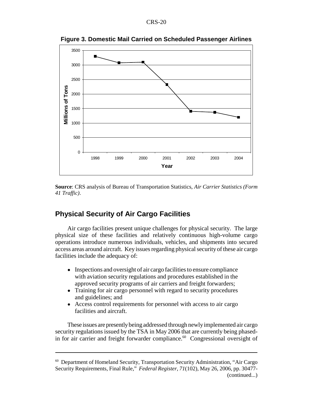

**Figure 3. Domestic Mail Carried on Scheduled Passenger Airlines**

**Source**: CRS analysis of Bureau of Transportation Statistics, *Air Carrier Statistics (Form 41 Traffic)*.

#### **Physical Security of Air Cargo Facilities**

Air cargo facilities present unique challenges for physical security. The large physical size of these facilities and relatively continuous high-volume cargo operations introduce numerous individuals, vehicles, and shipments into secured access areas around aircraft. Key issues regarding physical security of these air cargo facilities include the adequacy of:

- Inspections and oversight of air cargo facilities to ensure compliance with aviation security regulations and procedures established in the approved security programs of air carriers and freight forwarders;
- Training for air cargo personnel with regard to security procedures and guidelines; and
- Access control requirements for personnel with access to air cargo facilities and aircraft.

These issues are presently being addressed through newly implemented air cargo security regulations issued by the TSA in May 2006 that are currently being phasedin for air carrier and freight forwarder compliance.<sup>60</sup> Congressional oversight of

<sup>60</sup> Department of Homeland Security, Transportation Security Administration, "Air Cargo Security Requirements, Final Rule," *Federal Register, 71*(102)*,* May 26, 2006, pp. 30477- (continued...)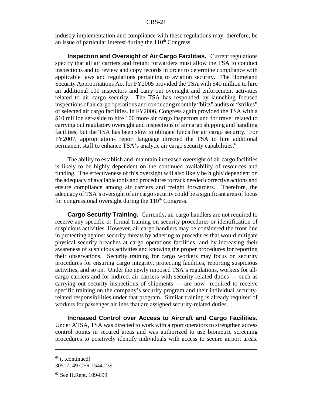industry implementation and compliance with these regulations may, therefore, be an issue of particular interest during the  $110<sup>th</sup>$  Congress.

**Inspection and Oversight of Air Cargo Facilities.** Current regulations specify that all air carriers and freight forwarders must allow the TSA to conduct inspections and to review and copy records in order to determine compliance with applicable laws and regulations pertaining to aviation security. The Homeland Security Appropriations Act for FY2005 provided the TSA with \$40 million to hire an additional 100 inspectors and carry out oversight and enforcement activities related to air cargo security. The TSA has responded by launching focused inspections of air cargo operations and conducting monthly "blitz" audits or "strikes" of selected air cargo facilities. In FY2006, Congress again provided the TSA with a \$10 million set-aside to hire 100 more air cargo inspectors and for travel related to carrying out regulatory oversight and inspections of air cargo shipping and handling facilities, but the TSA has been slow to obligate funds for air cargo security. For FY2007, appropriations report language directed the TSA to hire additional permanent staff to enhance TSA's analytic air cargo security capabilities.<sup>61</sup>

The ability to establish and maintain increased oversight of air cargo facilities is likely to be highly dependent on the continued availability of resources and funding. The effectiveness of this oversight will also likely be highly dependent on the adequacy of available tools and procedures to track needed corrective actions and ensure compliance among air carriers and freight forwarders. Therefore, the adequacy of TSA's oversight of air cargo security could be a significant area of focus for congressional oversight during the  $110<sup>th</sup>$  Congress.

**Cargo Security Training.** Currently, air cargo handlers are not required to receive any specific or formal training on security procedures or identification of suspicious activities. However, air cargo handlers may be considered the front line in protecting against security threats by adhering to procedures that would mitigate physical security breaches at cargo operations facilities, and by increasing their awareness of suspicious activities and knowing the proper procedures for reporting their observations. Security training for cargo workers may focus on security procedures for ensuring cargo integrity, protecting facilities, reporting suspicious activities, and so on. Under the newly imposed TSA's regulations, workers for allcargo carriers and for indirect air carriers with security-related duties — such as carrying out security inspections of shipments — are now required to receive specific training on the company's security program and their individual securityrelated responsibilities under that program. Similar training is already required of workers for passenger airlines that are assigned security-related duties.

**Increased Control over Access to Aircraft and Cargo Facilities.** Under ATSA, TSA was directed to work with airport operators to strengthen access control points in secured areas and was authorized to use biometric screening procedures to positively identify individuals with access to secure airport areas.

 $60$  (...continued)

<sup>30517; 49</sup> CFR 1544.239.

<sup>61</sup> See H.Rept. 109-699.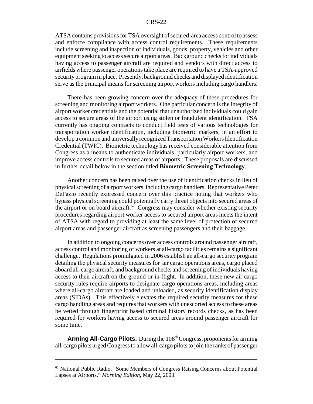#### CRS-22

ATSA contains provisions for TSA oversight of secured-area access control to assess and enforce compliance with access control requirements. These requirements include screening and inspection of individuals, goods, property, vehicles and other equipment seeking to access secure airport areas. Background checks for individuals having access to passenger aircraft are required and vendors with direct access to airfields where passenger operations take place are required to have a TSA-approved security program in place. Presently, background checks and displayed identification serve as the principal means for screening airport workers including cargo handlers.

There has been growing concern over the adequacy of these procedures for screening and monitoring airport workers. One particular concern is the integrity of airport worker credentials and the potential that unauthorized individuals could gain access to secure areas of the airport using stolen or fraudulent identification. TSA currently has ongoing contracts to conduct field tests of various technologies for transportation worker identification, including biometric markers, in an effort to develop a common and universally recognized Transportation Workers Identification Credential (TWIC). Biometric technology has received considerable attention from Congress as a means to authenticate individuals, particularly airport workers, and improve access controls to secured areas of airports. These proposals are discussed in further detail below in the section titled **Biometric Screening Technology**.

Another concern has been raised over the use of identification checks in lieu of physical screening of airport workers, including cargo handlers. Representative Peter DeFazio recently expressed concern over this practice noting that workers who bypass physical screening could potentially carry threat objects into secured areas of the airport or on board aircraft.<sup>62</sup> Congress may consider whether existing security procedures regarding airport worker access to secured airport areas meets the intent of ATSA with regard to providing at least the same level of protection of secured airport areas and passenger aircraft as screening passengers and their baggage.

In addition to ongoing concerns over access controls around passenger aircraft, access control and monitoring of workers at all-cargo facilities remains a significant challenge. Regulations promulgated in 2006 establish an all-cargo security program detailing the physical security measures for air cargo operations areas, cargo placed aboard all-cargo aircraft, and background checks and screening of individuals having access to their aircraft on the ground or in flight. In addition, these new air cargo security rules require airports to designate cargo operations areas, including areas where all-cargo aircraft are loaded and unloaded, as security identification display areas (SIDAs). This effectively elevates the required security measures for these cargo handling areas and requires that workers with unescorted access to these areas be vetted through fingerprint based criminal history records checks, as has been required for workers having access to secured areas around passenger aircraft for some time.

**Arming All-Cargo Pilots.** During the 108<sup>th</sup> Congress, proponents for arming all-cargo pilots urged Congress to allow all-cargo pilots to join the ranks of passenger

<sup>62</sup> National Public Radio. "Some Members of Congress Raising Concerns about Potential Lapses at Airports," *Morning Edition*, May 22, 2003.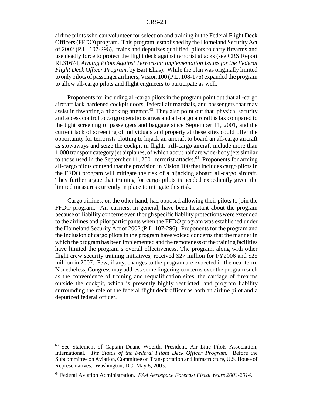airline pilots who can volunteer for selection and training in the Federal Flight Deck Officers (FFDO) program. This program, established by the Homeland Security Act of 2002 (P.L. 107-296), trains and deputizes qualified pilots to carry firearms and use deadly force to protect the flight deck against terrorist attacks (see CRS Report RL31674, *Arming Pilots Against Terrorism: Implementation Issues for the Federal Flight Deck Officer Program*, by Bart Elias). While the plan was originally limited to only pilots of passenger airliners, Vision 100 (P.L. 108-176) expanded the program to allow all-cargo pilots and flight engineers to participate as well.

Proponents for including all-cargo pilots in the program point out that all-cargo aircraft lack hardened cockpit doors, federal air marshals, and passengers that may assist in thwarting a hijacking attempt.<sup>63</sup> They also point out that physical security and access control to cargo operations areas and all-cargo aircraft is lax compared to the tight screening of passengers and baggage since September 11, 2001, and the current lack of screening of individuals and property at these sites could offer the opportunity for terrorists plotting to hijack an aircraft to board an all-cargo aircraft as stowaways and seize the cockpit in flight. All-cargo aircraft include more than 1,000 transport category jet airplanes, of which about half are wide-body jets similar to those used in the September 11, 2001 terrorist attacks.<sup>64</sup> Proponents for arming all-cargo pilots contend that the provision in Vision 100 that includes cargo pilots in the FFDO program will mitigate the risk of a hijacking aboard all-cargo aircraft. They further argue that training for cargo pilots is needed expediently given the limited measures currently in place to mitigate this risk.

Cargo airlines, on the other hand, had opposed allowing their pilots to join the FFDO program. Air carriers, in general, have been hesitant about the program because of liability concerns even though specific liability protections were extended to the airlines and pilot participants when the FFDO program was established under the Homeland Security Act of 2002 (P.L. 107-296). Proponents for the program and the inclusion of cargo pilots in the program have voiced concerns that the manner in which the program has been implemented and the remoteness of the training facilities have limited the program's overall effectiveness. The program, along with other flight crew security training initiatives, received \$27 million for FY2006 and \$25 million in 2007. Few, if any, changes to the program are expected in the near term. Nonetheless, Congress may address some lingering concerns over the program such as the convenience of training and requalification sites, the carriage of firearms outside the cockpit, which is presently highly restricted, and program liability surrounding the role of the federal flight deck officer as both an airline pilot and a deputized federal officer.

<sup>63</sup> See Statement of Captain Duane Woerth, President, Air Line Pilots Association, International. *The Status of the Federal Flight Deck Officer Program.* Before the Subcommittee on Aviation, Committee on Transportation and Infrastructure, U.S. House of Representatives. Washington, DC: May 8, 2003.

<sup>64</sup> Federal Aviation Administration. *FAA Aerospace Forecast Fiscal Years 2003-2014.*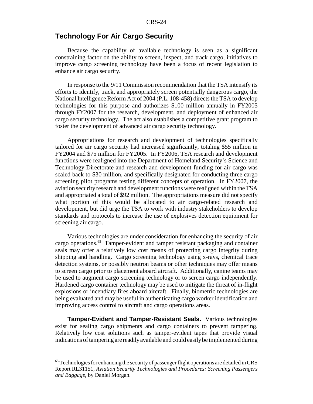#### **Technology For Air Cargo Security**

Because the capability of available technology is seen as a significant constraining factor on the ability to screen, inspect, and track cargo, initiatives to improve cargo screening technology have been a focus of recent legislation to enhance air cargo security.

In response to the 9/11 Commission recommendation that the TSA intensify its efforts to identify, track, and appropriately screen potentially dangerous cargo, the National Intelligence Reform Act of 2004 (P.L. 108-458) directs the TSA to develop technologies for this purpose and authorizes \$100 million annually in FY2005 through FY2007 for the research, development, and deployment of enhanced air cargo security technology. The act also establishes a competitive grant program to foster the development of advanced air cargo security technology.

Appropriations for research and development of technologies specifically tailored for air cargo security had increased significantly, totaling \$55 million in FY2004 and \$75 million for FY2005. In FY2006, TSA research and development functions were realigned into the Department of Homeland Security's Science and Technology Directorate and research and development funding for air cargo was scaled back to \$30 million, and specifically designated for conducting three cargo screening pilot programs testing different concepts of operation. In FY2007, the aviation security research and development functions were realigned within the TSA and appropriated a total of \$92 million. The appropriations measure did not specify what portion of this would be allocated to air cargo-related research and development, but did urge the TSA to work with industry stakeholders to develop standards and protocols to increase the use of explosives detection equipment for screening air cargo.

Various technologies are under consideration for enhancing the security of air cargo operations.65 Tamper-evident and tamper resistant packaging and container seals may offer a relatively low cost means of protecting cargo integrity during shipping and handling. Cargo screening technology using x-rays, chemical trace detection systems, or possibly neutron beams or other techniques may offer means to screen cargo prior to placement aboard aircraft. Additionally, canine teams may be used to augment cargo screening technology or to screen cargo independently. Hardened cargo container technology may be used to mitigate the threat of in-flight explosions or incendiary fires aboard aircraft. Finally, biometric technologies are being evaluated and may be useful in authenticating cargo worker identification and improving access control to aircraft and cargo operations areas.

**Tamper-Evident and Tamper-Resistant Seals.** Various technologies exist for sealing cargo shipments and cargo containers to prevent tampering. Relatively low cost solutions such as tamper-evident tapes that provide visual indications of tampering are readily available and could easily be implemented during

<sup>&</sup>lt;sup>65</sup> Technologies for enhancing the security of passenger flight operations are detailed in CRS Report RL31151, *Aviation Security Technologies and Procedures: Screening Passengers and Baggage*, by Daniel Morgan.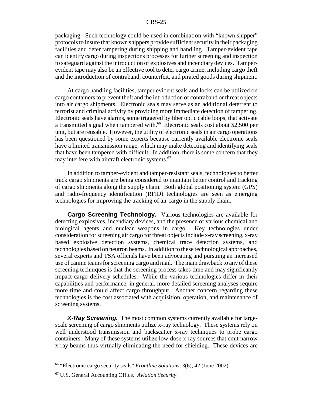#### CRS-25

packaging. Such technology could be used in combination with "known shipper" protocols to insure that known shippers provide sufficient security in their packaging facilities and deter tampering during shipping and handling. Tamper-evident tape can identify cargo during inspections processes for further screening and inspection to safeguard against the introduction of explosives and incendiary devices. Tamperevident tape may also be an effective tool to deter cargo crime, including cargo theft and the introduction of contraband, counterfeit, and pirated goods during shipment.

At cargo handling facilities, tamper evident seals and locks can be utilized on cargo containers to prevent theft and the introduction of contraband or threat objects into air cargo shipments. Electronic seals may serve as an additional deterrent to terrorist and criminal activity by providing more immediate detection of tampering. Electronic seals have alarms, some triggered by fiber optic cable loops, that activate a transmitted signal when tampered with.<sup>66</sup> Electronic seals cost about \$2,500 per unit, but are reusable. However, the utility of electronic seals in air cargo operations has been questioned by some experts because currently available electronic seals have a limited transmission range, which may make detecting and identifying seals that have been tampered with difficult. In addition, there is some concern that they may interfere with aircraft electronic systems.<sup>67</sup>

In addition to tamper-evident and tamper-resistant seals, technologies to better track cargo shipments are being considered to maintain better control and tracking of cargo shipments along the supply chain. Both global positioning system (GPS) and radio-frequency identification (RFID) technologies are seen as emerging technologies for improving the tracking of air cargo in the supply chain.

**Cargo Screening Technology.** Various technologies are available for detecting explosives, incendiary devices, and the presence of various chemical and biological agents and nuclear weapons in cargo. Key technologies under consideration for screening air cargo for threat objects include x-ray screening, x-ray based explosive detection systems, chemical trace detection systems, and technologies based on neutron beams. In addition to these technological approaches, several experts and TSA officials have been advocating and pursuing an increased use of canine teams for screening cargo and mail. The main drawback to any of these screening techniques is that the screening process takes time and may significantly impact cargo delivery schedules. While the various technologies differ in their capabilities and performance, in general, more detailed screening analyses require more time and could affect cargo throughput. Another concern regarding these technologies is the cost associated with acquisition, operation, and maintenance of screening systems.

*X-Ray Screening.* The most common systems currently available for largescale screening of cargo shipments utilize x-ray technology. These systems rely on well understood transmission and backscatter x-ray techniques to probe cargo containers. Many of these systems utilize low-dose x-ray sources that emit narrow x-ray beams thus virtually eliminating the need for shielding. These devices are

<sup>66 &</sup>quot;Electronic cargo security seals" *Frontline Solutions, 3*(6), 42 (June 2002).

<sup>67</sup> U.S. General Accounting Office. *Aviation Security*.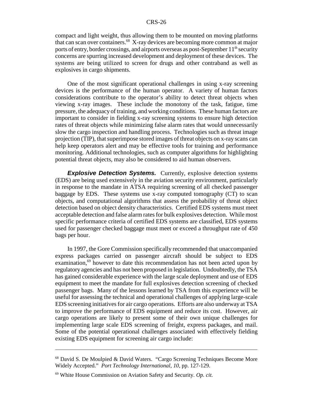compact and light weight, thus allowing them to be mounted on moving platforms that can scan over containers.68 X-ray devices are becoming more common at major ports of entry, border crossings, and airports overseas as post-September  $11<sup>th</sup>$  security concerns are spurring increased development and deployment of these devices. The systems are being utilized to screen for drugs and other contraband as well as explosives in cargo shipments.

One of the most significant operational challenges in using x-ray screening devices is the performance of the human operator. A variety of human factors considerations contribute to the operator's ability to detect threat objects when viewing x-ray images. These include the monotony of the task, fatigue, time pressure, the adequacy of training, and working conditions. These human factors are important to consider in fielding x-ray screening systems to ensure high detection rates of threat objects while minimizing false alarm rates that would unnecessarily slow the cargo inspection and handling process. Technologies such as threat image projection (TIP), that superimpose stored images of threat objects on x-ray scans can help keep operators alert and may be effective tools for training and performance monitoring. Additional technologies, such as computer algorithms for highlighting potential threat objects, may also be considered to aid human observers.

**Explosive Detection Systems.** Currently, explosive detection systems (EDS) are being used extensively in the aviation security environment, particularly in response to the mandate in ATSA requiring screening of all checked passenger baggage by EDS. These systems use x-ray computed tomography (CT) to scan objects, and computational algorithms that assess the probability of threat object detection based on object density characteristics. Certified EDS systems must meet acceptable detection and false alarm rates for bulk explosives detection. While most specific performance criteria of certified EDS systems are classified, EDS systems used for passenger checked baggage must meet or exceed a throughput rate of 450 bags per hour.

In 1997, the Gore Commission specifically recommended that unaccompanied express packages carried on passenger aircraft should be subject to EDS examination,<sup>69</sup> however to date this recommendation has not been acted upon by regulatory agencies and has not been proposed in legislation. Undoubtedly, the TSA has gained considerable experience with the large scale deployment and use of EDS equipment to meet the mandate for full explosives detection screening of checked passenger bags. Many of the lessons learned by TSA from this experience will be useful for assessing the technical and operational challenges of applying large-scale EDS screening initiatives for air cargo operations. Efforts are also underway at TSA to improve the performance of EDS equipment and reduce its cost. However, air cargo operations are likely to present some of their own unique challenges for implementing large scale EDS screening of freight, express packages, and mail. Some of the potential operational challenges associated with effectively fielding existing EDS equipment for screening air cargo include:

 $68$  David S. De Moulpied & David Waters. "Cargo Screening Techniques Become More Widely Accepted." *Port Technology International, 10*, pp. 127-129.

<sup>69</sup> White House Commission on Aviation Safety and Security. *Op. cit.*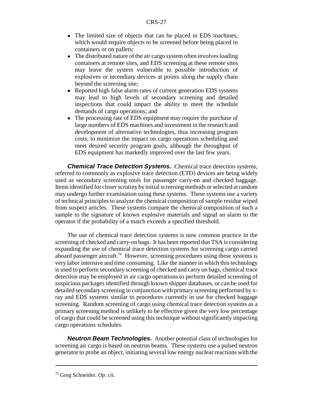- The limited size of objects that can be placed in EDS machines, which would require objects to be screened before being placed in containers or on pallets;
- The distributed nature of the air cargo system often involves loading containers at remote sites, and EDS screening at these remote sites may leave the system vulnerable to possible introduction of explosives or incendiary devices at points along the supply chain beyond the screening site;
- Reported high false alarm rates of current generation EDS systems may lead to high levels of secondary screening and detailed inspections that could impact the ability to meet the schedule demands of cargo operations; and
- The processing rate of EDS equipment may require the purchase of large numbers of EDS machines and investment in the research and development of alternative technologies, thus increasing program costs, to minimize the impact on cargo operations scheduling and meet desired security program goals, although the throughput of EDS equipment has markedly improved over the last few years.

*Chemical Trace Detection Systems.* Chemical trace detection systems, referred to commonly as explosive trace detection (ETD) devices are being widely used as secondary screening tools for passenger carry-on and checked baggage. Items identified for closer scrutiny by initial screening methods or selected at random may undergo further examination using these systems. These systems use a variety of technical principles to analyze the chemical composition of sample residue wiped from suspect articles. These systems compare the chemical composition of such a sample to the signature of known explosive materials and signal an alarm to the operator if the probability of a match exceeds a specified threshold.

The use of chemical trace detection systems is now common practice in the screening of checked and carry-on bags. It has been reported that TSA is considering expanding the use of chemical trace detection systems for screening cargo carried aboard passenger aircraft.<sup>70</sup> However, screening procedures using these systems is very labor intensive and time consuming. Like the manner in which this technology is used to perform secondary screening of checked and carry on bags, chemical trace detection may be employed in air cargo operations to perform detailed screening of suspicious packages identified through known shipper databases, or can be used for detailed secondary screening in conjunction with primary screening performed by xray and EDS systems similar to procedures currently in use for checked baggage screening. Random screening of cargo using chemical trace detection systems as a primary screening method is unlikely to be effective given the very low percentage of cargo that could be screened using this technique without significantly impacting cargo operations schedules.

*Neutron Beam Technologies.* Another potential class of technologies for screening air cargo is based on neutron beams. These systems use a pulsed neutron generator to probe an object, initiating several low energy nuclear reactions with the

<sup>70</sup> Greg Schneider. *Op. cit.*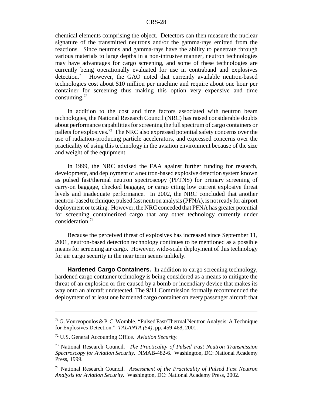chemical elements comprising the object. Detectors can then measure the nuclear signature of the transmitted neutrons and/or the gamma-rays emitted from the reactions. Since neutrons and gamma-rays have the ability to penetrate through various materials to large depths in a non-intrusive manner, neutron technologies may have advantages for cargo screening, and some of these technologies are currently being operationally evaluated for use in contraband and explosives detection.<sup>71</sup> However, the GAO noted that currently available neutron-based technologies cost about \$10 million per machine and require about one hour per container for screening thus making this option very expensive and time consuming. $^{72}$ 

In addition to the cost and time factors associated with neutron beam technologies, the National Research Council (NRC) has raised considerable doubts about performance capabilities for screening the full spectrum of cargo containers or pallets for explosives.73 The NRC also expressed potential safety concerns over the use of radiation-producing particle accelerators, and expressed concerns over the practicality of using this technology in the aviation environment because of the size and weight of the equipment.

In 1999, the NRC advised the FAA against further funding for research, development, and deployment of a neutron-based explosive detection system known as pulsed fast/thermal neutron spectroscopy (PFTNS) for primary screening of carry-on baggage, checked baggage, or cargo citing low current explosive threat levels and inadequate performance. In 2002, the NRC concluded that another neutron-based technique, pulsed fast neutron analysis (PFNA), is not ready for airport deployment or testing. However, the NRC conceded that PFNA has greater potential for screening containerized cargo that any other technology currently under consideration.74

Because the perceived threat of explosives has increased since September 11, 2001, neutron-based detection technology continues to be mentioned as a possible means for screening air cargo. However, wide-scale deployment of this technology for air cargo security in the near term seems unlikely.

**Hardened Cargo Containers.** In addition to cargo screening technology, hardened cargo container technology is being considered as a means to mitigate the threat of an explosion or fire caused by a bomb or incendiary device that makes its way onto an aircraft undetected. The 9/11 Commission formally recommended the deployment of at least one hardened cargo container on every passenger aircraft that

 $71$  G. Vourvopoulos & P. C. Womble. "Pulsed Fast/Thermal Neutron Analysis: A Technique for Explosives Detection." *TALANTA (54)*, pp. 459-468, 2001.

<sup>72</sup> U.S. General Accounting Office. *Aviation Security.*

<sup>73</sup> National Research Council. *The Practicality of Pulsed Fast Neutron Transmission Spectroscopy for Aviation Security.* NMAB-482-6. Washington, DC: National Academy Press, 1999.

<sup>74</sup> National Research Council. *Assessment of the Practicality of Pulsed Fast Neutron Analysis for Aviation Security.* Washington, DC: National Academy Press, 2002.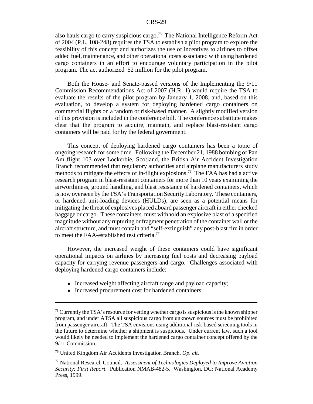also hauls cargo to carry suspicious cargo.<sup>75</sup> The National Intelligence Reform Act of 2004 (P.L. 108-248) requires the TSA to establish a pilot program to explore the feasibility of this concept and authorizes the use of incentives to airlines to offset added fuel, maintenance, and other operational costs associated with using hardened cargo containers in an effort to encourage voluntary participation in the pilot program. The act authorized \$2 million for the pilot program.

Both the House- and Senate-passed versions of the Implementing the 9/11 Commission Recommendations Act of 2007 (H.R. 1) would require the TSA to evaluate the results of the pilot program by January 1, 2008, and, based on this evaluation, to develop a system for deploying hardened cargo containers on commercial flights on a random or risk-based manner. A slightly modified version of this provision is included in the conference bill. The conference substitute makes clear that the program to acquire, maintain, and replace blast-resistant cargo containers will be paid for by the federal government.

This concept of deploying hardened cargo containers has been a topic of ongoing research for some time. Following the December 21, 1988 bombing of Pan Am flight 103 over Lockerbie, Scotland, the British Air Accident Investigation Branch recommended that regulatory authorities and airplane manufacturers study methods to mitigate the effects of in-flight explosions.<sup>76</sup> The FAA has had a active research program in blast-resistant containers for more than 10 years examining the airworthiness, ground handling, and blast resistance of hardened containers, which is now overseen by the TSA's Transportation Security Laboratory. These containers, or hardened unit-loading devices (HULDs), are seen as a potential means for mitigating the threat of explosives placed aboard passenger aircraft in either checked baggage or cargo. These containers must withhold an explosive blast of a specified magnitude without any rupturing or fragment penetration of the container wall or the aircraft structure, and must contain and "self-extinguish" any post-blast fire in order to meet the FAA-established test criteria.<sup>77</sup>

However, the increased weight of these containers could have significant operational impacts on airlines by increasing fuel costs and decreasing payload capacity for carrying revenue passengers and cargo. Challenges associated with deploying hardened cargo containers include:

- ! Increased weight affecting aircraft range and payload capacity;
- Increased procurement cost for hardened containers;

<sup>&</sup>lt;sup>75</sup> Currently the TSA's resource for vetting whether cargo is suspicious is the known shipper program, and under ATSA all suspicious cargo from unknown sources must be prohibited from passenger aircraft. The TSA envisions using additional risk-based screening tools in the future to determine whether a shipment is suspicious. Under current law, such a tool would likely be needed to implement the hardened cargo container concept offered by the 9/11 Commission.

<sup>76</sup> United Kingdom Air Accidents Investigation Branch. *Op. cit.*

<sup>77</sup> National Research Council. *Assessment of Technologies Deployed to Improve Aviation Security: First Report*. Publication NMAB-482-5. Washington, DC: National Academy Press, 1999.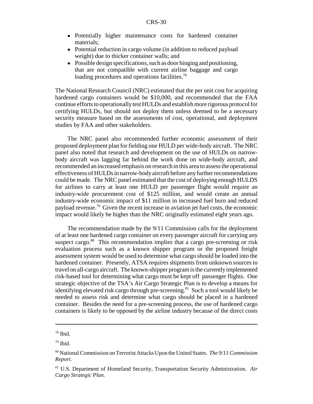- ! Potentially higher maintenance costs for hardened container materials;
- Potential reduction in cargo volume (in addition to reduced payload weight) due to thicker container walls; and
- Possible design specifications, such as door hinging and positioning, that are not compatible with current airline baggage and cargo loading procedures and operations facilities.<sup>78</sup>

The National Research Council (NRC) estimated that the per unit cost for acquiring hardened cargo containers would be \$10,000, and recommended that the FAA continue efforts to operationally test HULDs and establish more rigorous protocol for certifying HULDs, but should not deploy them unless deemed to be a necessary security measure based on the assessments of cost, operational, and deployment studies by FAA and other stakeholders.

The NRC panel also recommended further economic assessment of their proposed deployment plan for fielding one HULD per wide-body aircraft. The NRC panel also noted that research and development on the use of HULDs on narrowbody aircraft was lagging far behind the work done on wide-body aircraft, and recommended an increased emphasis on research in this area to assess the operational effectiveness of HULDs in narrow-body aircraft before any further recommendations could be made. The NRC panel estimated that the cost of deploying enough HULDS for airlines to carry at least one HULD per passenger flight would require an industry-wide procurement cost of \$125 million, and would create an annual industry-wide economic impact of \$11 million in increased fuel burn and reduced payload revenue.<sup>79</sup> Given the recent increase in aviation jet fuel costs, the economic impact would likely be higher than the NRC originally estimated eight years ago.

The recommendation made by the 9/11 Commission calls for the deployment of at least one hardened cargo container on every passenger aircraft for carrying any suspect cargo. $80$  This recommendation implies that a cargo pre-screening or risk evaluation process such as a known shipper program or the proposed freight assessment system would be used to determine what cargo should be loaded into the hardened container. Presently, ATSA requires shipments from unknown sources to travel on all-cargo aircraft. The known-shipper program is the currently implemented risk-based tool for determining what cargo must be kept off passenger flights. One strategic objective of the TSA's Air Cargo Strategic Plan is to develop a means for identifying elevated risk cargo through pre-screening.<sup>81</sup> Such a tool would likely be needed to assess risk and determine what cargo should be placed in a hardened container. Besides the need for a pre-screening process, the use of hardened cargo containers is likely to be opposed by the airline industry because of the direct costs

<sup>78</sup> Ibid.

<sup>79</sup> Ibid.

<sup>80</sup> National Commission on Terrorist Attacks Upon the United States. *The 9/11 Commission Report.*

<sup>81</sup> U.S. Department of Homeland Security, Transportation Security Administration. *Air Cargo Strategic Plan.*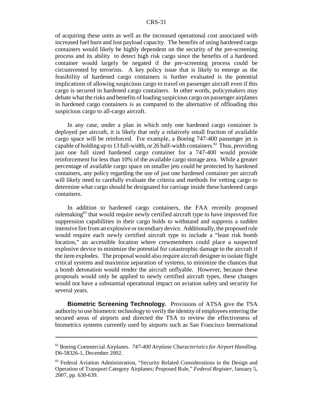#### CRS-31

of acquiring these units as well as the increased operational cost associated with increased fuel burn and lost payload capacity. The benefits of using hardened cargo containers would likely be highly dependent on the security of the pre-screening process and its ability to detect high risk cargo since the benefits of a hardened container would largely be negated if the pre-screening process could be circumvented by terrorists. A key policy issue that is likely to emerge as the feasibility of hardened cargo containers is further evaluated is the potential implications of allowing suspicious cargo to travel on passenger aircraft even if this cargo is secured in hardened cargo containers. In other words, policymakers may debate what the risks and benefits of loading suspicious cargo on passenger airplanes in hardened cargo containers is as compared to the alternative of offloading this suspicious cargo to all-cargo aircraft.

In any case, under a plan in which only one hardened cargo container is deployed per aircraft, it is likely that only a relatively small fraction of available cargo space will be reinforced. For example, a Boeing 747-400 passenger jet is capable of holding up to 13 full-width, or 26 half-width containers.<sup>82</sup> Thus, providing just one full sized hardened cargo container for a 747-400 would provide reinforcement for less than 10% of the available cargo storage area. While a greater percentage of available cargo space on smaller jets could be protected by hardened containers, any policy regarding the use of just one hardened container per aircraft will likely need to carefully evaluate the criteria and methods for vetting cargo to determine what cargo should be designated for carriage inside these hardened cargo containers.

In addition to hardened cargo containers, the FAA recently proposed rulemaking<sup>83</sup> that would require newly certified aircraft type to have improved fire suppression capabilities in their cargo holds to withstand and suppress a sudden intensive fire from an explosive or incendiary device. Additionally, the proposed rule would require each newly certified aircraft type to include a "least risk bomb location," an accessible location where crewmembers could place a suspected explosive device to minimize the potential for catastrophic damage to the aircraft if the item explodes. The proposal would also require aircraft designer to isolate flight critical systems and maximize separation of systems, to minimize the chances that a bomb detonation would render the aircraft unflyable. However, because these proposals would only be applied to newly certified aircraft types, these changes would not have a substantial operational impact on aviation safety and security for several years.

**Biometric Screening Technology.** Provisions of ATSA give the TSA authority to use biometric technology to verify the identity of employees entering the secured areas of airports and directed the TSA to review the effectiveness of biometrics systems currently used by airports such as San Francisco International

<sup>82</sup> Boeing Commercial Airplanes. *747-400 Airplane Characteristics for Airport Handling.* D6-58326-1, December 2002.

<sup>&</sup>lt;sup>83</sup> Federal Aviation Administration, "Security Related Considerations in the Design and Operation of Transport Category Airplanes; Proposed Rule," *Federal Register,* January 5, 2007, pp. 630-639.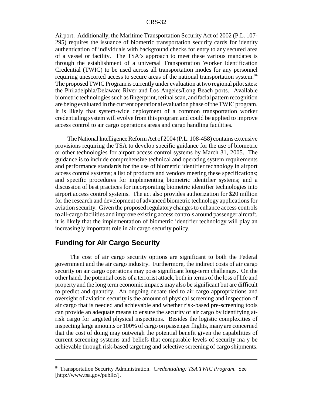Airport. Additionally, the Maritime Transportation Security Act of 2002 (P.L. 107- 295) requires the issuance of biometric transportation security cards for identity authentication of individuals with background checks for entry to any secured area of a vessel or facility. The TSA's approach to meet these various mandates is through the establishment of a universal Transportation Worker Identification Credential (TWIC) to be used across all transportation modes for any personnel requiring unescorted access to secure areas of the national transportation system.<sup>84</sup> The proposed TWIC Program is currently under evaluation at two regional pilot sites: the Philadelphia/Delaware River and Los Angeles/Long Beach ports. Available biometric technologies such as fingerprint, retinal scan, and facial pattern recognition are being evaluated in the current operational evaluation phase of the TWIC program. It is likely that system-wide deployment of a common transportation worker credentialing system will evolve from this program and could be applied to improve access control to air cargo operations areas and cargo handling facilities.

The National Intelligence Reform Act of 2004 (P.L. 108-458) contains extensive provisions requiring the TSA to develop specific guidance for the use of biometric or other technologies for airport access control systems by March 31, 2005. The guidance is to include comprehensive technical and operating system requirements and performance standards for the use of biometric identifier technology in airport access control systems; a list of products and vendors meeting these specifications; and specific procedures for implementing biometric identifier systems; and a discussion of best practices for incorporating biometric identifier technologies into airport access control systems. The act also provides authorization for \$20 million for the research and development of advanced biometric technology applications for aviation security. Given the proposed regulatory changes to enhance access controls to all-cargo facilities and improve existing access controls around passenger aircraft, it is likely that the implementation of biometric identifier technology will play an increasingly important role in air cargo security policy.

## **Funding for Air Cargo Security**

 The cost of air cargo security options are significant to both the Federal government and the air cargo industry. Furthermore, the indirect costs of air cargo security on air cargo operations may pose significant long-term challenges. On the other hand, the potential costs of a terrorist attack, both in terms of the loss of life and property and the long term economic impacts may also be significant but are difficult to predict and quantify. An ongoing debate tied to air cargo appropriations and oversight of aviation security is the amount of physical screening and inspection of air cargo that is needed and achievable and whether risk-based pre-screening tools can provide an adequate means to ensure the security of air cargo by identifying atrisk cargo for targeted physical inspections. Besides the logistic complexities of inspecting large amounts or 100% of cargo on passenger flights, many are concerned that the cost of doing may outweigh the potential benefit given the capabilities of current screening systems and beliefs that comparable levels of security ma y be achievable through risk-based targeting and selective screening of cargo shipments.

<sup>84</sup> Transportation Security Administration. *Credentialing: TSA TWIC Program*. See [http://www.tsa.gov/public/].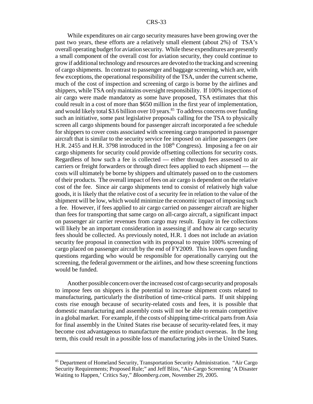While expenditures on air cargo security measures have been growing over the past two years, these efforts are a relatively small element (about 2%) of TSA's overall operating budget for aviation security. While these expenditures are presently a small component of the overall cost for aviation security, they could continue to grow if additional technology and resources are devoted to the tracking and screening of cargo shipments. In contrast to passenger and baggage screening, which are, with few exceptions, the operational responsibility of the TSA, under the current scheme, much of the cost of inspection and screening of cargo is borne by the airlines and shippers, while TSA only maintains oversight responsibility. If 100% inspections of air cargo were made mandatory as some have proposed, TSA estimates that this could result in a cost of more than \$650 million in the first year of implementation, and would likely total \$3.6 billion over 10 years.<sup>85</sup> To address concerns over funding such an initiative, some past legislative proposals calling for the TSA to physically screen all cargo shipments bound for passenger aircraft incorporated a fee schedule for shippers to cover costs associated with screening cargo transported in passenger aircraft that is similar to the security service fee imposed on airline passengers (see H.R. 2455 and H.R. 3798 introduced in the 108<sup>th</sup> Congress). Imposing a fee on air cargo shipments for security could provide offsetting collections for security costs. Regardless of how such a fee is collected — either through fees assessed to air carriers or freight forwarders or through direct fees applied to each shipment — the costs will ultimately be borne by shippers and ultimately passed on to the customers of their products. The overall impact of fees on air cargo is dependent on the relative cost of the fee. Since air cargo shipments tend to consist of relatively high value goods, it is likely that the relative cost of a security fee in relation to the value of the shipment will be low, which would minimize the economic impact of imposing such a fee. However, if fees applied to air cargo carried on passenger aircraft are higher than fees for transporting that same cargo on all-cargo aircraft, a significant impact on passenger air carrier revenues from cargo may result. Equity in fee collections will likely be an important consideration in assessing if and how air cargo security fees should be collected. As previously noted, H.R. 1 does not include an aviation security fee proposal in connection with its proposal to require 100% screening of cargo placed on passenger aircraft by the end of FY2009. This leaves open funding questions regarding who would be responsible for operationally carrying out the screening, the federal government or the airlines, and how these screening functions would be funded.

Another possible concern over the increased cost of cargo security and proposals to impose fees on shippers is the potential to increase shipment costs related to manufacturing, particularly the distribution of time-critical parts. If unit shipping costs rise enough because of security-related costs and fees, it is possible that domestic manufacturing and assembly costs will not be able to remain competitive in a global market. For example, if the costs of shipping time-critical parts from Asia for final assembly in the United States rise because of security-related fees, it may become cost advantageous to manufacture the entire product overseas. In the long term, this could result in a possible loss of manufacturing jobs in the United States.

<sup>&</sup>lt;sup>85</sup> Department of Homeland Security, Transportation Security Administration. "Air Cargo Security Requirements; Proposed Rule;" and Jeff Bliss, "Air-Cargo Screening 'A Disaster Waiting to Happen,' Critics Say," *Bloomberg.com,* November 29, 2005.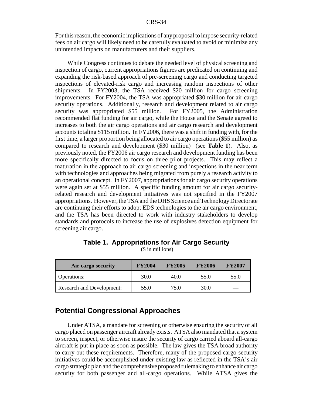For this reason, the economic implications of any proposal to impose security-related fees on air cargo will likely need to be carefully evaluated to avoid or minimize any unintended impacts on manufacturers and their suppliers.

While Congress continues to debate the needed level of physical screening and inspection of cargo, current appropriations figures are predicated on continuing and expanding the risk-based approach of pre-screening cargo and conducting targeted inspections of elevated-risk cargo and increasing random inspections of other shipments. In FY2003, the TSA received \$20 million for cargo screening improvements. For FY2004, the TSA was appropriated \$30 million for air cargo security operations. Additionally, research and development related to air cargo security was appropriated \$55 million. For FY2005, the Administration recommended flat funding for air cargo, while the House and the Senate agreed to increases to both the air cargo operations and air cargo research and development accounts totaling \$115 million. In FY2006, there was a shift in funding with, for the first time, a larger proportion being allocated to air cargo operations (\$55 million) as compared to research and development (\$30 million) (see **Table 1**). Also, as previously noted, the FY2006 air cargo research and development funding has been more specifically directed to focus on three pilot projects. This may reflect a maturation in the approach to air cargo screening and inspections in the near term with technologies and approaches being migrated from purely a research activity to an operational concept. In FY2007, appropriations for air cargo security operations were again set at \$55 million. A specific funding amount for air cargo securityrelated research and development initiatives was not specified in the FY2007 appropriations. However, the TSA and the DHS Science and Technology Directorate are continuing their efforts to adopt EDS technologies to the air cargo environment, and the TSA has been directed to work with industry stakeholders to develop standards and protocols to increase the use of explosives detection equipment for screening air cargo.

| Air cargo security               | <b>FY2004</b> | <b>FY2005</b> | <b>FY2006</b> | <b>FY2007</b> |
|----------------------------------|---------------|---------------|---------------|---------------|
| <b>Operations:</b>               | 30.0          | 40.0          | 55.0          | 55.0          |
| <b>Research and Development:</b> | 55.0          | 75.0          | 30.0          |               |

**Table 1. Appropriations for Air Cargo Security** (\$ in millions)

## **Potential Congressional Approaches**

Under ATSA, a mandate for screening or otherwise ensuring the security of all cargo placed on passenger aircraft already exists. ATSA also mandated that a system to screen, inspect, or otherwise insure the security of cargo carried aboard all-cargo aircraft is put in place as soon as possible. The law gives the TSA broad authority to carry out these requirements. Therefore, many of the proposed cargo security initiatives could be accomplished under existing law as reflected in the TSA's air cargo strategic plan and the comprehensive proposed rulemaking to enhance air cargo security for both passenger and all-cargo operations. While ATSA gives the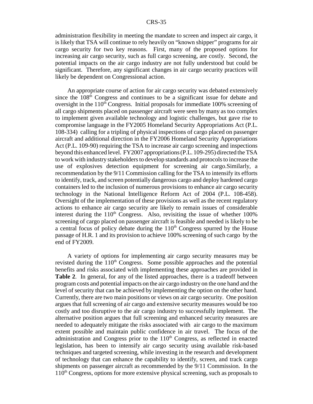administration flexibility in meeting the mandate to screen and inspect air cargo, it is likely that TSA will continue to rely heavily on "known shipper" programs for air cargo security for two key reasons. First, many of the proposed options for increasing air cargo security, such as full cargo screening, are costly. Second, the potential impacts on the air cargo industry are not fully understood but could be significant. Therefore, any significant changes in air cargo security practices will likely be dependent on Congressional action.

An appropriate course of action for air cargo security was debated extensively since the 108<sup>th</sup> Congress and continues to be a significant issue for debate and oversight in the  $110<sup>th</sup>$  Congress. Initial proposals for immediate 100% screening of all cargo shipments placed on passenger aircraft were seen by many as too complex to implement given available technology and logistic challenges, but gave rise to compromise language in the FY2005 Homeland Security Appropriations Act (P.L. 108-334) calling for a tripling of physical inspections of cargo placed on passenger aircraft and additional direction in the FY2006 Homeland Security Appropriations Act (P.L. 109-90) requiring the TSA to increase air cargo screening and inspections beyond this enhanced level. FY2007 appropriations (P.L. 109-295) directed the TSA to work with industry stakeholders to develop standards and protocols to increase the use of explosives detection equipment for screening air cargo.Similarly, a recommendation by the 9/11 Commission calling for the TSA to intensify its efforts to identify, track, and screen potentially dangerous cargo and deploy hardened cargo containers led to the inclusion of numerous provisions to enhance air cargo security technology in the National Intelligence Reform Act of 2004 (P.L. 108-458). Oversight of the implementation of these provisions as well as the recent regulatory actions to enhance air cargo security are likely to remain issues of considerable interest during the  $110<sup>th</sup>$  Congress. Also, revisiting the issue of whether 100% screening of cargo placed on passenger aircraft is feasible and needed is likely to be a central focus of policy debate during the  $110<sup>th</sup>$  Congress spurred by the House passage of H.R. 1 and its provision to achieve 100% screening of such cargo by the end of FY2009.

A variety of options for implementing air cargo security measures may be revisted during the  $110<sup>th</sup>$  Congress. Some possible approaches and the potential benefits and risks associated with implementing these approaches are provided in **Table 2**. In general, for any of the listed approaches, there is a tradeoff between program costs and potential impacts on the air cargo industry on the one hand and the level of security that can be achieved by implementing the option on the other hand. Currently, there are two main positions or views on air cargo security. One position argues that full screening of air cargo and extensive security measures would be too costly and too disruptive to the air cargo industry to successfully implement. The alternative position argues that full screening and enhanced security measures are needed to adequately mitigate the risks associated with air cargo to the maximum extent possible and maintain public confidence in air travel. The focus of the administration and Congress prior to the  $110<sup>th</sup>$  Congress, as reflected in enacted legislation, has been to intensify air cargo security using available risk-based techniques and targeted screening, while investing in the research and development of technology that can enhance the capability to identify, screen, and track cargo shipments on passenger aircraft as recommended by the 9/11 Commission. In the 110th Congress, options for more extensive physical screening, such as proposals to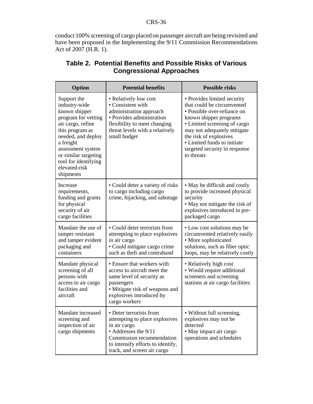conduct 100% screening of cargo placed on passenger aircraft are being revisited and have been proposed in the Implementing the 9/11 Commission Recommendations Act of 2007 (H.R. 1).

| Option                                                                                                                                                                                                                                             | <b>Potential benefits</b>                                                                                                                                                                          | <b>Possible risks</b>                                                                                                                                                                                                                                                                     |
|----------------------------------------------------------------------------------------------------------------------------------------------------------------------------------------------------------------------------------------------------|----------------------------------------------------------------------------------------------------------------------------------------------------------------------------------------------------|-------------------------------------------------------------------------------------------------------------------------------------------------------------------------------------------------------------------------------------------------------------------------------------------|
| Support the<br>industry-wide<br>known shipper<br>program for vetting<br>air cargo, refine<br>this program as<br>needed, and deploy<br>a freight<br>assessment system<br>or similar targeting<br>tool for identifying<br>elevated-risk<br>shipments | • Relatively low cost<br>• Consistent with<br>administration approach<br>• Provides administration<br>flexibility to meet changing<br>threat levels with a relatively<br>small budget              | • Provides limited security<br>that could be circumvented<br>• Possible over-reliance on<br>known shipper programs<br>• Limited screening of cargo<br>may not adequately mitigate<br>the risk of explosives<br>• Limited funds to initiate<br>targeted security in response<br>to threats |
| Increase<br>requirements,<br>funding and grants<br>for physical<br>security of air<br>cargo facilities                                                                                                                                             | • Could deter a variety of risks<br>to cargo including cargo<br>crime, hijacking, and sabotage                                                                                                     | • May be difficult and costly<br>to provide increased physical<br>security<br>• May not mitigate the risk of<br>explosives introduced in pre-<br>packaged cargo                                                                                                                           |
| Mandate the use of<br>tamper resistant<br>and tamper evident<br>packaging and<br>containers                                                                                                                                                        | • Could deter terrorists from<br>attempting to place explosives<br>in air cargo<br>• Could mitigate cargo crime<br>such as theft and contraband                                                    | • Low cost solutions may be<br>circumvented relatively easily<br>• More sophisticated<br>solutions, such as fiber optic<br>loops, may be relatively costly                                                                                                                                |
| Mandate physical<br>screening of all<br>persons with<br>access to air cargo<br>facilities and<br>aircraft                                                                                                                                          | · Ensure that workers with<br>access to aircraft meet the<br>same level of security as<br>passengers<br>• Mitigate risk of weapons and<br>explosives introduced by<br>cargo workers                | • Relatively high cost<br>• Would require additional<br>screeners and screening<br>stations at air cargo facilities                                                                                                                                                                       |
| Mandate increased<br>screening and<br>inspection of air<br>cargo shipments                                                                                                                                                                         | • Deter terrorists from<br>attempting to place explosives<br>in air cargo<br>• Addresses the 9/11<br>Commission recommendation<br>to intensify efforts to identify,<br>track, and screen air cargo | • Without full screening,<br>explosives may not be<br>detected<br>· May impact air cargo<br>operations and schedules                                                                                                                                                                      |

## **Table 2. Potential Benefits and Possible Risks of Various Congressional Approaches**